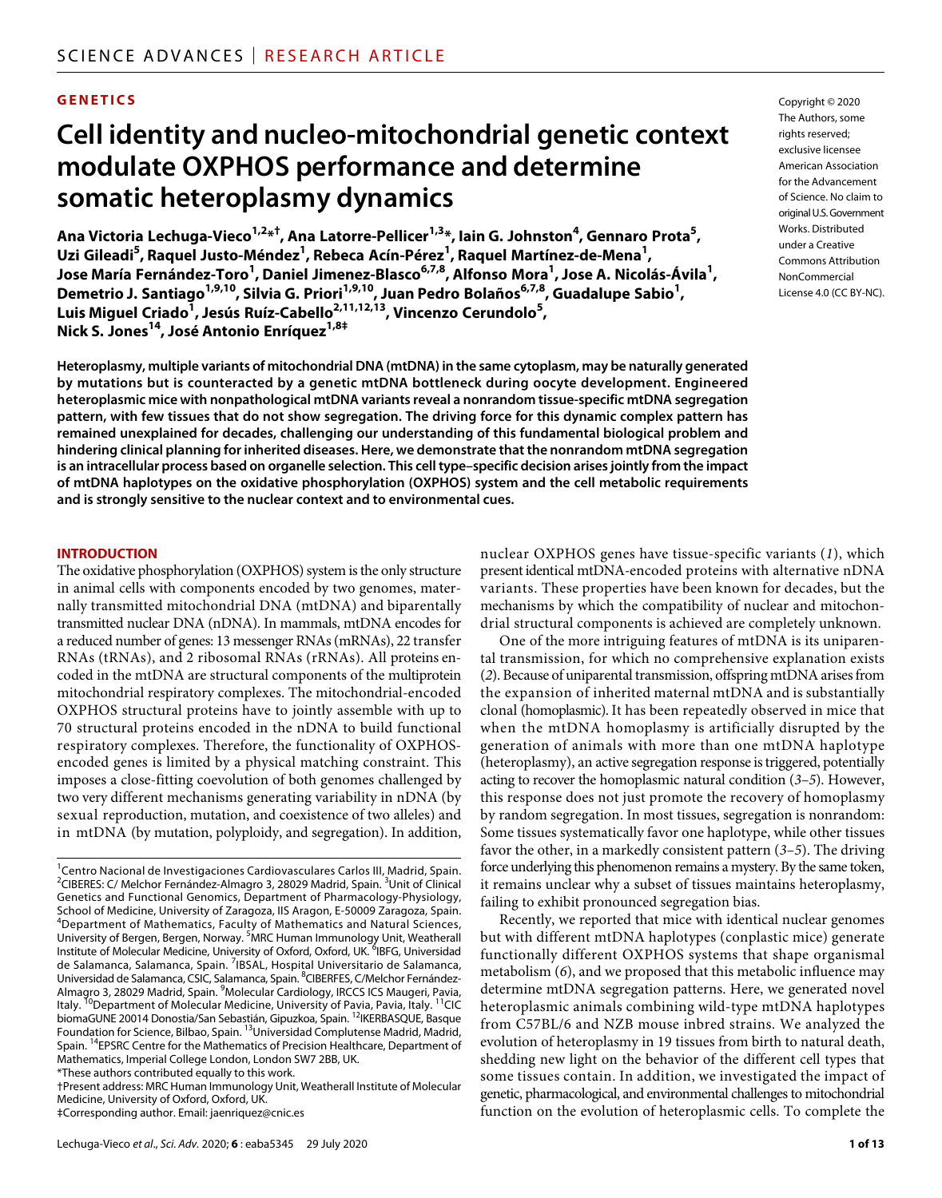# **GENETICS**

# **Cell identity and nucleo-mitochondrial genetic context modulate OXPHOS performance and determine somatic heteroplasmy dynamics**

Ana Victoria Lechuga-Vieco<sup>1,2</sup>\*<sup>†</sup>, Ana Latorre-Pellicer<sup>1,3</sup>\*, Iain G. Johnston<sup>4</sup>, Gennaro Prota<sup>5</sup>, **Uzi Gileadi<sup>5</sup> , Raquel Justo-Méndez1 , Rebeca Acín-Pérez1 , Raquel Martínez-de-Mena1 , Jose María Fernández-Toro<sup>1</sup> , Daniel Jimenez-Blasco6,7,8 , Alfonso Mora1 , Jose A. Nicolás-Ávila1 ,**  Demetrio J. Santiago<sup>1,9,10</sup>, Silvia G. Priori<sup>1,9,10</sup>, Juan Pedro Bolaños<sup>6,7,8</sup>, Guadalupe Sabio<sup>1</sup>, **Luis Miguel Criado<sup>1</sup> , Jesús Ruíz-Cabello2,11,12,13, Vincenzo Cerundolo5 , Nick S. Jones14, José Antonio Enríquez1,8‡**

**Heteroplasmy, multiple variants of mitochondrial DNA (mtDNA) in the same cytoplasm, may be naturally generated by mutations but is counteracted by a genetic mtDNA bottleneck during oocyte development. Engineered heteroplasmic mice with nonpathological mtDNA variants reveal a nonrandom tissue-specific mtDNA segregation pattern, with few tissues that do not show segregation. The driving force for this dynamic complex pattern has remained unexplained for decades, challenging our understanding of this fundamental biological problem and hindering clinical planning for inherited diseases. Here, we demonstrate that the nonrandom mtDNA segregation is an intracellular process based on organelle selection. This cell type–specific decision arises jointly from the impact of mtDNA haplotypes on the oxidative phosphorylation (OXPHOS) system and the cell metabolic requirements and is strongly sensitive to the nuclear context and to environmental cues.**

#### **INTRODUCTION**

The oxidative phosphorylation (OXPHOS) system is the only structure in animal cells with components encoded by two genomes, maternally transmitted mitochondrial DNA (mtDNA) and biparentally transmitted nuclear DNA (nDNA). In mammals, mtDNA encodes for a reduced number of genes: 13 messenger RNAs (mRNAs), 22 transfer RNAs (tRNAs), and 2 ribosomal RNAs (rRNAs). All proteins encoded in the mtDNA are structural components of the multiprotein mitochondrial respiratory complexes. The mitochondrial-encoded OXPHOS structural proteins have to jointly assemble with up to 70 structural proteins encoded in the nDNA to build functional respiratory complexes. Therefore, the functionality of OXPHOSencoded genes is limited by a physical matching constraint. This imposes a close-fitting coevolution of both genomes challenged by two very different mechanisms generating variability in nDNA (by sexual reproduction, mutation, and coexistence of two alleles) and in mtDNA (by mutation, polyploidy, and segregation). In addition,

\*These authors contributed equally to this work.

†Present address: MRC Human Immunology Unit, Weatherall Institute of Molecular Medicine, University of Oxford, Oxford, UK.

‡Corresponding author. Email: jaenriquez@cnic.es

nuclear OXPHOS genes have tissue-specific variants (*1*), which present identical mtDNA-encoded proteins with alternative nDNA variants. These properties have been known for decades, but the mechanisms by which the compatibility of nuclear and mitochondrial structural components is achieved are completely unknown.

One of the more intriguing features of mtDNA is its uniparental transmission, for which no comprehensive explanation exists (*2*). Because of uniparental transmission, offspring mtDNA arises from the expansion of inherited maternal mtDNA and is substantially clonal (homoplasmic). It has been repeatedly observed in mice that when the mtDNA homoplasmy is artificially disrupted by the generation of animals with more than one mtDNA haplotype (heteroplasmy), an active segregation response is triggered, potentially acting to recover the homoplasmic natural condition (*3*–*5*). However, this response does not just promote the recovery of homoplasmy by random segregation. In most tissues, segregation is nonrandom: Some tissues systematically favor one haplotype, while other tissues favor the other, in a markedly consistent pattern (*3*–*5*). The driving force underlying this phenomenon remains a mystery. By the same token, it remains unclear why a subset of tissues maintains heteroplasmy, failing to exhibit pronounced segregation bias.

Recently, we reported that mice with identical nuclear genomes but with different mtDNA haplotypes (conplastic mice) generate functionally different OXPHOS systems that shape organismal metabolism (*6*), and we proposed that this metabolic influence may determine mtDNA segregation patterns. Here, we generated novel heteroplasmic animals combining wild-type mtDNA haplotypes from C57BL/6 and NZB mouse inbred strains. We analyzed the evolution of heteroplasmy in 19 tissues from birth to natural death, shedding new light on the behavior of the different cell types that some tissues contain. In addition, we investigated the impact of genetic, pharmacological, and environmental challenges to mitochondrial function on the evolution of heteroplasmic cells. To complete the

Copyright © 2020 The Authors, some rights reserved: exclusive licensee American Association for the Advancement of Science. No claim to original U.S.Government Works. Distributed under a Creative Commons Attribution NonCommercial License 4.0 (CC BY-NC).

<sup>&</sup>lt;sup>1</sup>Centro Nacional de Investigaciones Cardiovasculares Carlos III, Madrid, Spain. <sup>2</sup>CIBERES: C/ Melchor Fernández-Almagro 3, 28029 Madrid, Spain. <sup>3</sup>Unit of Clinical Genetics and Functional Genomics, Department of Pharmacology-Physiology, School of Medicine, University of Zaragoza, IIS Aragon, E-50009 Zaragoza, Spain. 4 Department of Mathematics, Faculty of Mathematics and Natural Sciences, University of Bergen, Bergen, Norway. <sup>5</sup>MRC Human Immunology Unit, Weatherall Institute of Molecular Medicine, University of Oxford, Oxford, UK. <sup>6</sup>IBFG, Universidad de Salamanca, Salamanca, Spain. <sup>7</sup>IBSAL, Hospital Universitario de Salamanca, Universidad de Salamanca, CSIC, Salamanca, Spain. <sup>8</sup>CIBERFES, C/Melchor Fernández-Almagro 3, 28029 Madrid, Spain. <sup>9</sup>Molecular Cardiology, IRCCS ICS Maugeri, Pavia,<br>Italy. <sup>10</sup>Department of Molecular Medicine, University of Pavia, Pavia, Italy. <sup>11</sup>CIC biomaGUNE 20014 Donostia/San Sebastián, Gipuzkoa, Spain. 12IKERBASQUE, Basque Foundation for Science, Bilbao, Spain. 13Universidad Complutense Madrid, Madrid, Spain. 14EPSRC Centre for the Mathematics of Precision Healthcare, Department of Mathematics, Imperial College London, London SW7 2BB, UK.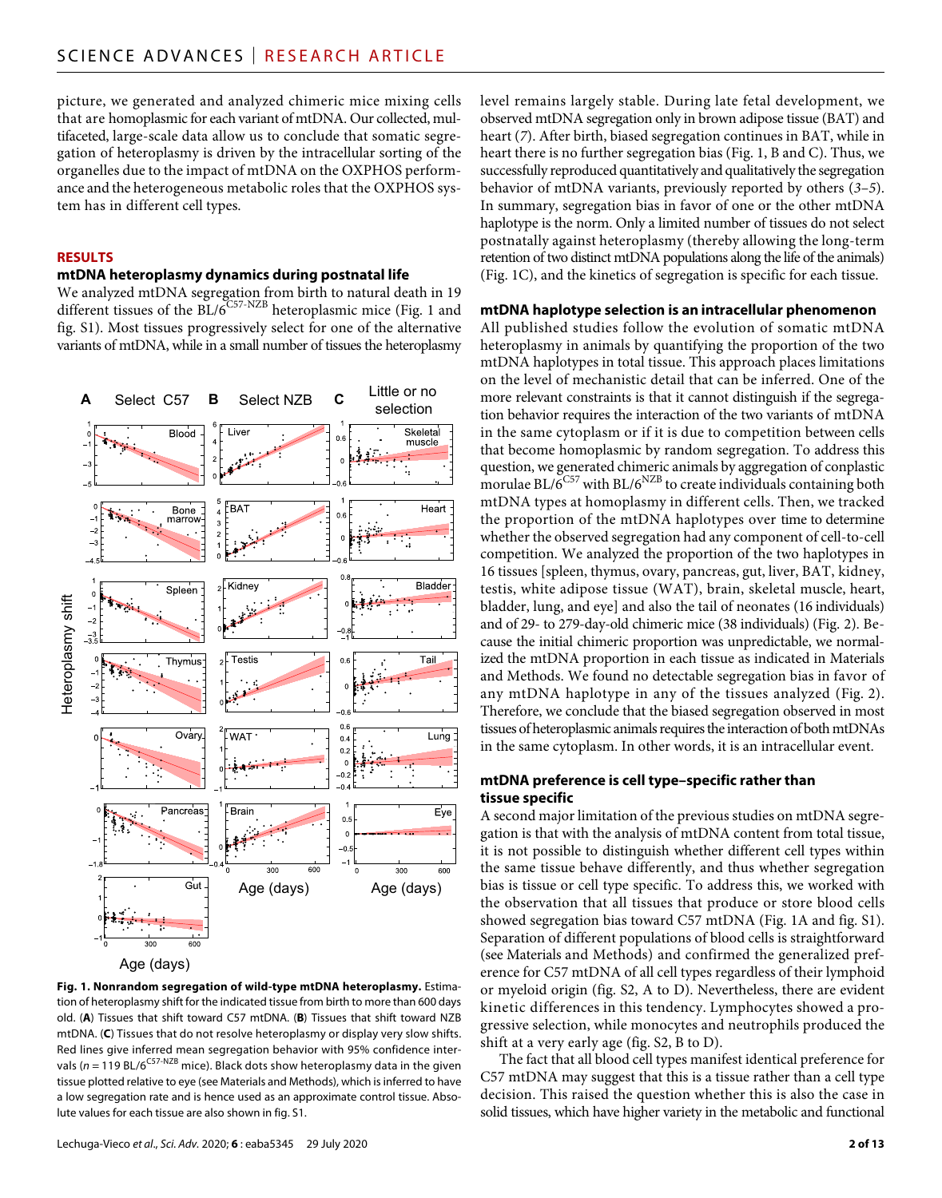picture, we generated and analyzed chimeric mice mixing cells that are homoplasmic for each variant of mtDNA. Our collected, multifaceted, large-scale data allow us to conclude that somatic segregation of heteroplasmy is driven by the intracellular sorting of the organelles due to the impact of mtDNA on the OXPHOS performance and the heterogeneous metabolic roles that the OXPHOS system has in different cell types.

## **RESULTS**

# **mtDNA heteroplasmy dynamics during postnatal life**

We analyzed mtDNA segregation from birth to natural death in 19 different tissues of the  $BL/6^{C57-NZB}$  heteroplasmic mice (Fig. 1 and fig. S1). Most tissues progressively select for one of the alternative variants of mtDNA, while in a small number of tissues the heteroplasmy



Age (days)

**Fig. 1. Nonrandom segregation of wild-type mtDNA heteroplasmy.** Estimation of heteroplasmy shift for the indicated tissue from birth to more than 600 days old. (**A**) Tissues that shift toward C57 mtDNA. (**B**) Tissues that shift toward NZB mtDNA. (**C**) Tissues that do not resolve heteroplasmy or display very slow shifts. Red lines give inferred mean segregation behavior with 95% confidence intervals ( $n = 119$  BL/6<sup>C57-NZB</sup> mice). Black dots show heteroplasmy data in the given tissue plotted relative to eye (see Materials and Methods), which is inferred to have a low segregation rate and is hence used as an approximate control tissue. Absolute values for each tissue are also shown in fig. S1.

level remains largely stable. During late fetal development, we observed mtDNA segregation only in brown adipose tissue (BAT) and heart (*7*). After birth, biased segregation continues in BAT, while in heart there is no further segregation bias (Fig. 1, B and C). Thus, we successfully reproduced quantitatively and qualitatively the segregation behavior of mtDNA variants, previously reported by others (*3*–*5*). In summary, segregation bias in favor of one or the other mtDNA haplotype is the norm. Only a limited number of tissues do not select postnatally against heteroplasmy (thereby allowing the long-term retention of two distinct mtDNA populations along the life of the animals) (Fig. 1C), and the kinetics of segregation is specific for each tissue.

#### **mtDNA haplotype selection is an intracellular phenomenon**

All published studies follow the evolution of somatic mtDNA heteroplasmy in animals by quantifying the proportion of the two mtDNA haplotypes in total tissue. This approach places limitations on the level of mechanistic detail that can be inferred. One of the more relevant constraints is that it cannot distinguish if the segregation behavior requires the interaction of the two variants of mtDNA in the same cytoplasm or if it is due to competition between cells that become homoplasmic by random segregation. To address this question, we generated chimeric animals by aggregation of conplastic morulae BL/ $6^{C57}$  with BL/ $6^{NZB}$  to create individuals containing both mtDNA types at homoplasmy in different cells. Then, we tracked the proportion of the mtDNA haplotypes over time to determine whether the observed segregation had any component of cell-to-cell competition. We analyzed the proportion of the two haplotypes in 16 tissues [spleen, thymus, ovary, pancreas, gut, liver, BAT, kidney, testis, white adipose tissue (WAT), brain, skeletal muscle, heart, bladder, lung, and eye] and also the tail of neonates (16 individuals) and of 29- to 279-day-old chimeric mice (38 individuals) (Fig. 2). Because the initial chimeric proportion was unpredictable, we normalized the mtDNA proportion in each tissue as indicated in Materials and Methods. We found no detectable segregation bias in favor of any mtDNA haplotype in any of the tissues analyzed (Fig. 2). Therefore, we conclude that the biased segregation observed in most tissues of heteroplasmic animals requires the interaction of both mtDNAs in the same cytoplasm. In other words, it is an intracellular event.

## **mtDNA preference is cell type–specific rather than tissue specific**

A second major limitation of the previous studies on mtDNA segregation is that with the analysis of mtDNA content from total tissue, it is not possible to distinguish whether different cell types within the same tissue behave differently, and thus whether segregation bias is tissue or cell type specific. To address this, we worked with the observation that all tissues that produce or store blood cells showed segregation bias toward C57 mtDNA (Fig. 1A and fig. S1). Separation of different populations of blood cells is straightforward (see Materials and Methods) and confirmed the generalized preference for C57 mtDNA of all cell types regardless of their lymphoid or myeloid origin (fig. S2, A to D). Nevertheless, there are evident kinetic differences in this tendency. Lymphocytes showed a progressive selection, while monocytes and neutrophils produced the shift at a very early age (fig. S2, B to D).

The fact that all blood cell types manifest identical preference for C57 mtDNA may suggest that this is a tissue rather than a cell type decision. This raised the question whether this is also the case in solid tissues, which have higher variety in the metabolic and functional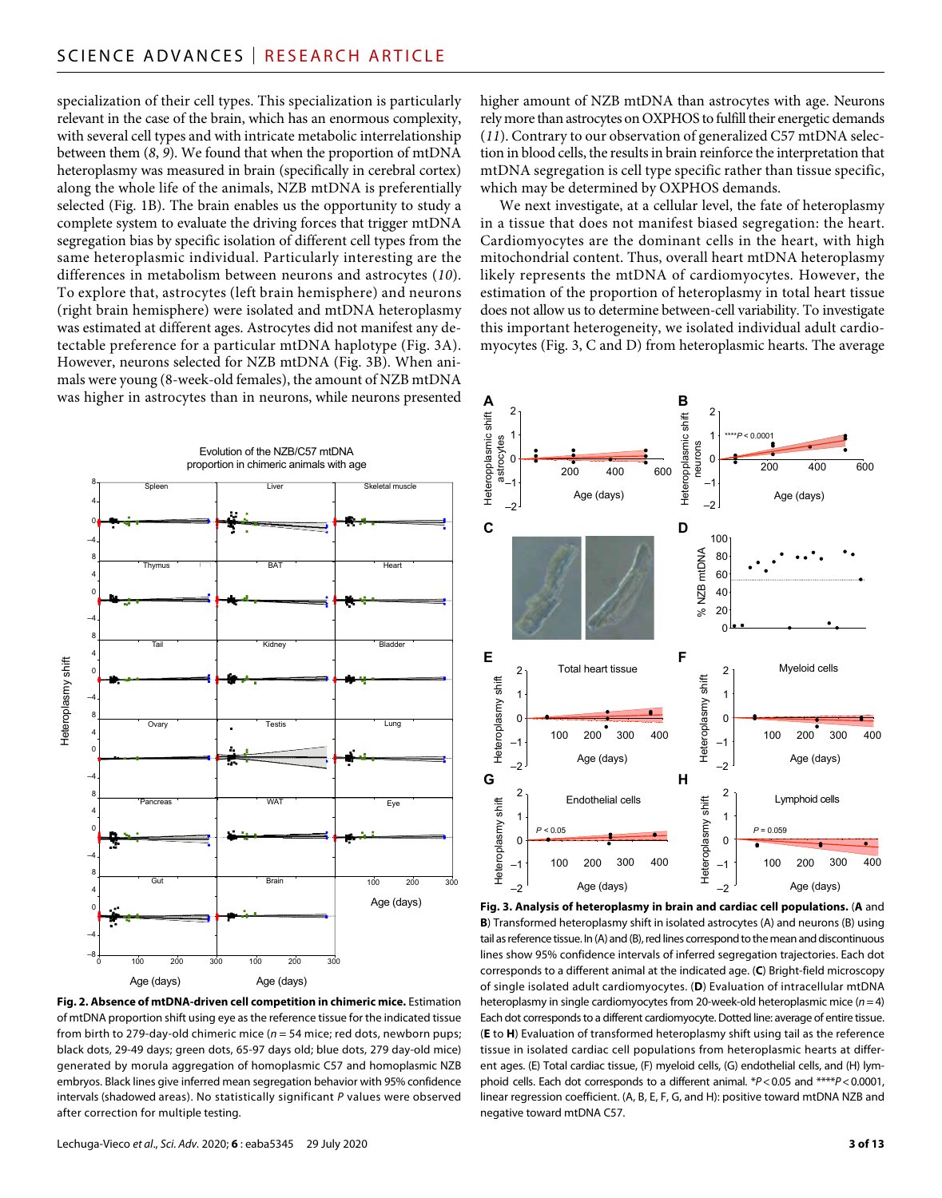specialization of their cell types. This specialization is particularly relevant in the case of the brain, which has an enormous complexity, with several cell types and with intricate metabolic interrelationship between them (*8*, *9*). We found that when the proportion of mtDNA heteroplasmy was measured in brain (specifically in cerebral cortex) along the whole life of the animals, NZB mtDNA is preferentially selected (Fig. 1B). The brain enables us the opportunity to study a complete system to evaluate the driving forces that trigger mtDNA segregation bias by specific isolation of different cell types from the same heteroplasmic individual. Particularly interesting are the differences in metabolism between neurons and astrocytes (*10*). To explore that, astrocytes (left brain hemisphere) and neurons (right brain hemisphere) were isolated and mtDNA heteroplasmy was estimated at different ages. Astrocytes did not manifest any detectable preference for a particular mtDNA haplotype (Fig. 3A). However, neurons selected for NZB mtDNA (Fig. 3B). When animals were young (8-week-old females), the amount of NZB mtDNA was higher in astrocytes than in neurons, while neurons presented



**Fig. 2. Absence of mtDNA-driven cell competition in chimeric mice.** Estimation of mtDNA proportion shift using eye as the reference tissue for the indicated tissue from birth to 279-day-old chimeric mice (*n* = 54 mice; red dots, newborn pups; black dots, 29-49 days; green dots, 65-97 days old; blue dots, 279 day-old mice) generated by morula aggregation of homoplasmic C57 and homoplasmic NZB embryos. Black lines give inferred mean segregation behavior with 95% confidence intervals (shadowed areas). No statistically significant *P* values were observed after correction for multiple testing.

higher amount of NZB mtDNA than astrocytes with age. Neurons rely more than astrocytes on OXPHOS to fulfill their energetic demands (*11*). Contrary to our observation of generalized C57 mtDNA selection in blood cells, the results in brain reinforce the interpretation that mtDNA segregation is cell type specific rather than tissue specific, which may be determined by OXPHOS demands.

We next investigate, at a cellular level, the fate of heteroplasmy in a tissue that does not manifest biased segregation: the heart. Cardiomyocytes are the dominant cells in the heart, with high mitochondrial content. Thus, overall heart mtDNA heteroplasmy likely represents the mtDNA of cardiomyocytes. However, the estimation of the proportion of heteroplasmy in total heart tissue does not allow us to determine between-cell variability. To investigate this important heterogeneity, we isolated individual adult cardiomyocytes (Fig. 3, C and D) from heteroplasmic hearts. The average



**Fig. 3. Analysis of heteroplasmy in brain and cardiac cell populations.** (**A** and **B**) Transformed heteroplasmy shift in isolated astrocytes (A) and neurons (B) using tail as reference tissue. In (A) and (B), red lines correspond to the mean and discontinuous lines show 95% confidence intervals of inferred segregation trajectories. Each dot corresponds to a different animal at the indicated age. (**C**) Bright-field microscopy of single isolated adult cardiomyocytes. (**D**) Evaluation of intracellular mtDNA heteroplasmy in single cardiomyocytes from 20-week-old heteroplasmic mice (*n*=4) Each dot corresponds to a different cardiomyocyte. Dotted line: average of entire tissue. (**E** to **H**) Evaluation of transformed heteroplasmy shift using tail as the reference tissue in isolated cardiac cell populations from heteroplasmic hearts at different ages. (E) Total cardiac tissue, (F) myeloid cells, (G) endothelial cells, and (H) lymphoid cells. Each dot corresponds to a different animal. \**P*<0.05 and \*\*\*\**P*<0.0001, linear regression coefficient. (A, B, E, F, G, and H): positive toward mtDNA NZB and negative toward mtDNA C57.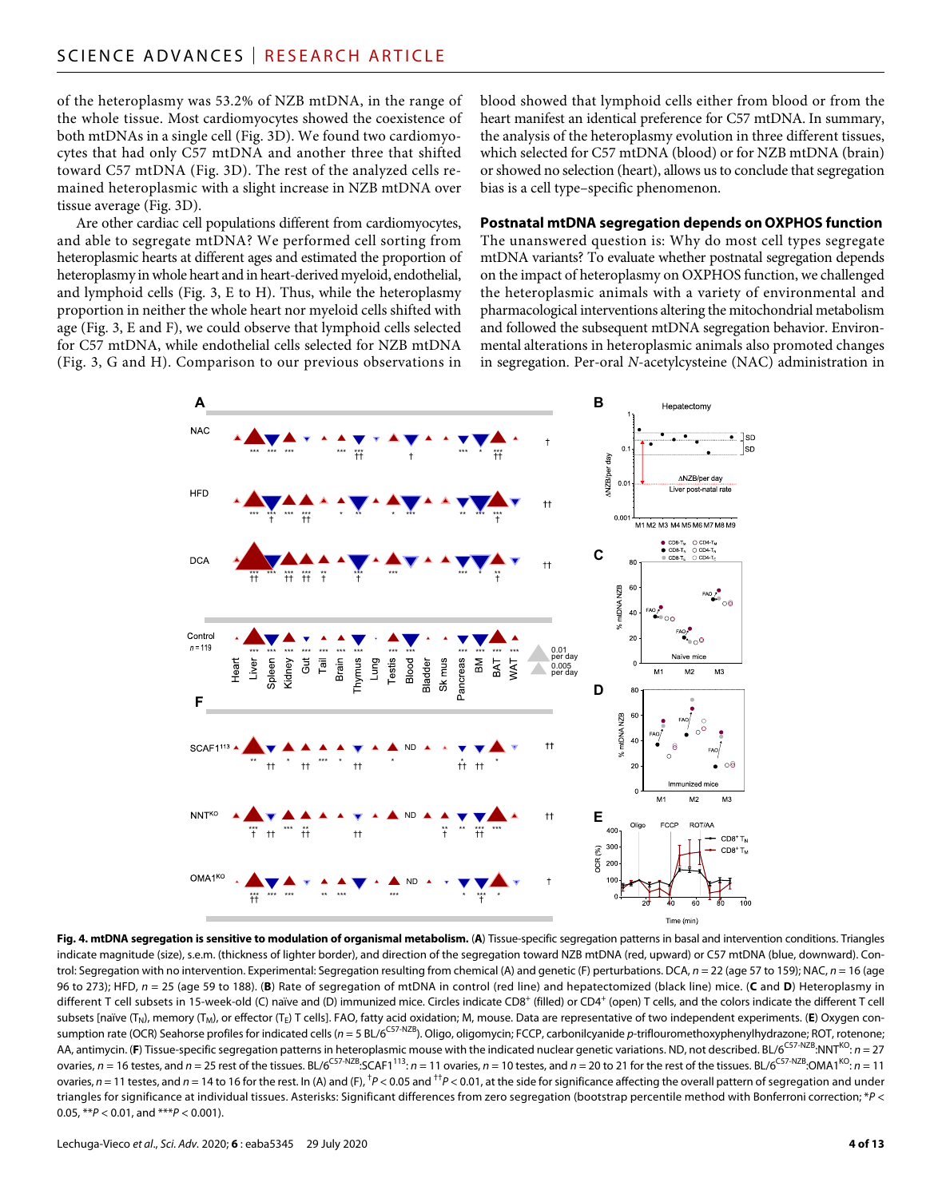of the heteroplasmy was 53.2% of NZB mtDNA, in the range of the whole tissue. Most cardiomyocytes showed the coexistence of both mtDNAs in a single cell (Fig. 3D). We found two cardiomyocytes that had only C57 mtDNA and another three that shifted toward C57 mtDNA (Fig. 3D). The rest of the analyzed cells remained heteroplasmic with a slight increase in NZB mtDNA over tissue average (Fig. 3D).

Are other cardiac cell populations different from cardiomyocytes, and able to segregate mtDNA? We performed cell sorting from heteroplasmic hearts at different ages and estimated the proportion of heteroplasmy in whole heart and in heart-derived myeloid, endothelial, and lymphoid cells (Fig. 3, E to H). Thus, while the heteroplasmy proportion in neither the whole heart nor myeloid cells shifted with age (Fig. 3, E and F), we could observe that lymphoid cells selected for C57 mtDNA, while endothelial cells selected for NZB mtDNA (Fig. 3, G and H). Comparison to our previous observations in blood showed that lymphoid cells either from blood or from the heart manifest an identical preference for C57 mtDNA. In summary, the analysis of the heteroplasmy evolution in three different tissues, which selected for C57 mtDNA (blood) or for NZB mtDNA (brain) or showed no selection (heart), allows us to conclude that segregation bias is a cell type–specific phenomenon.

#### **Postnatal mtDNA segregation depends on OXPHOS function**

The unanswered question is: Why do most cell types segregate mtDNA variants? To evaluate whether postnatal segregation depends on the impact of heteroplasmy on OXPHOS function, we challenged the heteroplasmic animals with a variety of environmental and pharmacological interventions altering the mitochondrial metabolism and followed the subsequent mtDNA segregation behavior. Environmental alterations in heteroplasmic animals also promoted changes in segregation. Per-oral *N*-acetylcysteine (NAC) administration in



**Fig. 4. mtDNA segregation is sensitive to modulation of organismal metabolism.** (**A**) Tissue-specific segregation patterns in basal and intervention conditions. Triangles indicate magnitude (size), s.e.m. (thickness of lighter border), and direction of the segregation toward NZB mtDNA (red, upward) or C57 mtDNA (blue, downward). Control: Segregation with no intervention. Experimental: Segregation resulting from chemical (A) and genetic (F) perturbations. DCA, *n* = 22 (age 57 to 159); NAC, *n* = 16 (age 96 to 273); HFD, *n* = 25 (age 59 to 188). (**B**) Rate of segregation of mtDNA in control (red line) and hepatectomized (black line) mice. (**C** and **D**) Heteroplasmy in different T cell subsets in 15-week-old (C) naïve and (D) immunized mice. Circles indicate CD8<sup>+</sup> (filled) or CD4<sup>+</sup> (open) T cells, and the colors indicate the different T cell subsets [naïve (T<sub>N</sub>), memory (T<sub>M</sub>), or effector (T<sub>F</sub>) T cells]. FAO, fatty acid oxidation; M, mouse. Data are representative of two independent experiments. (E) Oxygen consumption rate (OCR) Seahorse profiles for indicated cells (*n* = 5 BL/6C57-NZB). Oligo, oligomycin; FCCP, carbonilcyanide *p*-triflouromethoxyphenylhydrazone; ROT, rotenone; AA, antimycin. (**F**) Tissue-specific segregation patterns in heteroplasmic mouse with the indicated nuclear genetic variations. ND, not described. BL/6<sup>C57-NZB</sup>:NNT<sup>KO</sup>: *n* = 27 ovaries,  $n = 16$  testes, and  $n = 25$  rest of the tissues. BL/6<sup>C57-NZB</sup>:SCAF1<sup>113</sup>:  $n = 11$  ovaries,  $n = 10$  testes, and  $n = 20$  to 21 for the rest of the tissues. BL/6<sup>C57-NZB</sup>:OMA1<sup>KO</sup>:  $n = 11$ ovaries,  $n = 11$  testes, and  $n = 14$  to 16 for the rest. In (A) and (F), <sup>†</sup>P < 0.05 and <sup>††</sup>P < 0.01, at the side for significance affecting the overall pattern of segregation and under triangles for significance at individual tissues. Asterisks: Significant differences from zero segregation (bootstrap percentile method with Bonferroni correction; \**P* < 0.05, \*\**P* < 0.01, and \*\*\**P* < 0.001).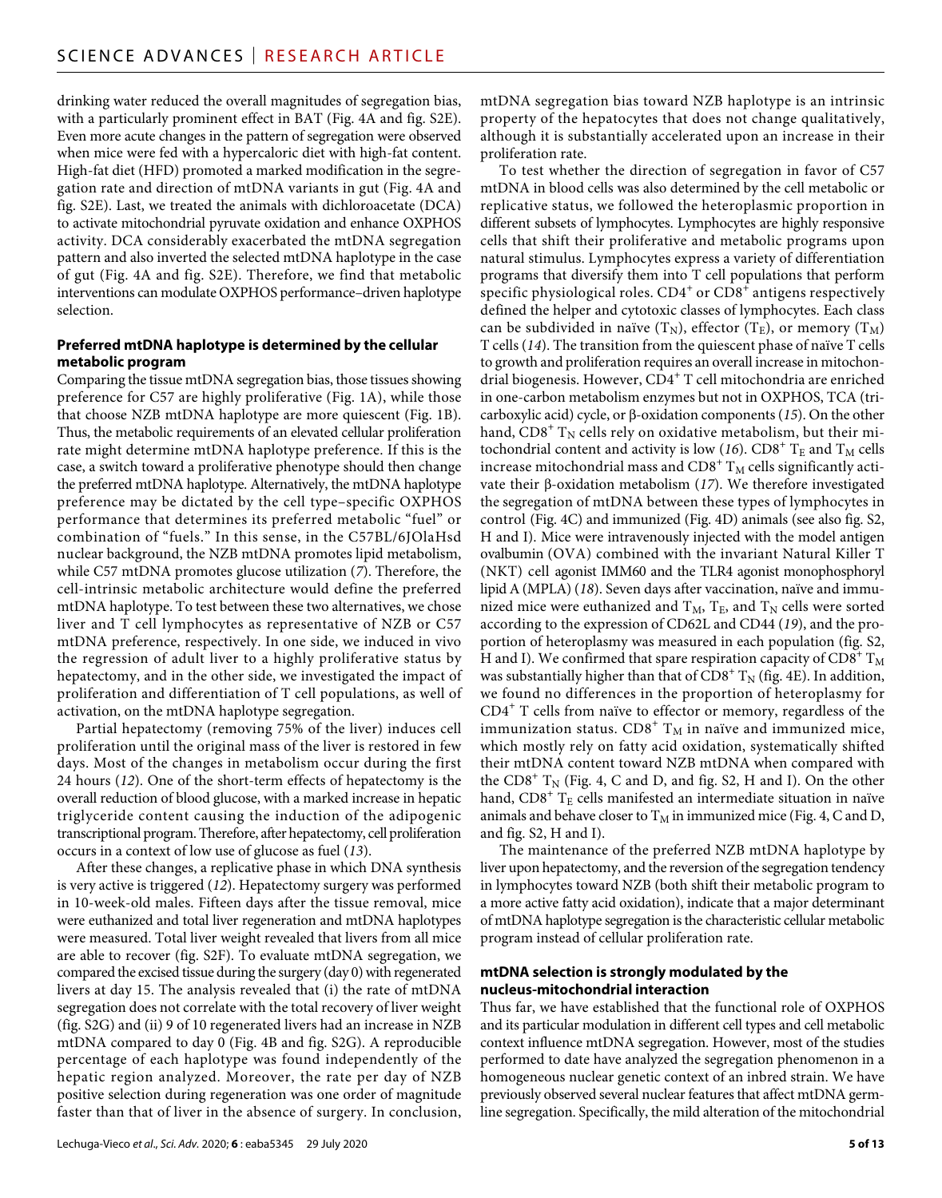drinking water reduced the overall magnitudes of segregation bias, with a particularly prominent effect in BAT (Fig. 4A and fig. S2E). Even more acute changes in the pattern of segregation were observed when mice were fed with a hypercaloric diet with high-fat content. High-fat diet (HFD) promoted a marked modification in the segregation rate and direction of mtDNA variants in gut (Fig. 4A and fig. S2E). Last, we treated the animals with dichloroacetate (DCA) to activate mitochondrial pyruvate oxidation and enhance OXPHOS activity. DCA considerably exacerbated the mtDNA segregation pattern and also inverted the selected mtDNA haplotype in the case of gut (Fig. 4A and fig. S2E). Therefore, we find that metabolic interventions can modulate OXPHOS performance–driven haplotype selection.

# **Preferred mtDNA haplotype is determined by the cellular metabolic program**

Comparing the tissue mtDNA segregation bias, those tissues showing preference for C57 are highly proliferative (Fig. 1A), while those that choose NZB mtDNA haplotype are more quiescent (Fig. 1B). Thus, the metabolic requirements of an elevated cellular proliferation rate might determine mtDNA haplotype preference. If this is the case, a switch toward a proliferative phenotype should then change the preferred mtDNA haplotype. Alternatively, the mtDNA haplotype preference may be dictated by the cell type–specific OXPHOS performance that determines its preferred metabolic "fuel" or combination of "fuels." In this sense, in the C57BL/6JOlaHsd nuclear background, the NZB mtDNA promotes lipid metabolism, while C57 mtDNA promotes glucose utilization (*7*). Therefore, the cell-intrinsic metabolic architecture would define the preferred mtDNA haplotype. To test between these two alternatives, we chose liver and T cell lymphocytes as representative of NZB or C57 mtDNA preference, respectively. In one side, we induced in vivo the regression of adult liver to a highly proliferative status by hepatectomy, and in the other side, we investigated the impact of proliferation and differentiation of T cell populations, as well of activation, on the mtDNA haplotype segregation.

Partial hepatectomy (removing 75% of the liver) induces cell proliferation until the original mass of the liver is restored in few days. Most of the changes in metabolism occur during the first 24 hours (*12*). One of the short-term effects of hepatectomy is the overall reduction of blood glucose, with a marked increase in hepatic triglyceride content causing the induction of the adipogenic transcriptional program. Therefore, after hepatectomy, cell proliferation occurs in a context of low use of glucose as fuel (*13*).

After these changes, a replicative phase in which DNA synthesis is very active is triggered (*12*). Hepatectomy surgery was performed in 10-week-old males. Fifteen days after the tissue removal, mice were euthanized and total liver regeneration and mtDNA haplotypes were measured. Total liver weight revealed that livers from all mice are able to recover (fig. S2F). To evaluate mtDNA segregation, we compared the excised tissue during the surgery (day 0) with regenerated livers at day 15. The analysis revealed that (i) the rate of mtDNA segregation does not correlate with the total recovery of liver weight (fig. S2G) and (ii) 9 of 10 regenerated livers had an increase in NZB mtDNA compared to day 0 (Fig. 4B and fig. S2G). A reproducible percentage of each haplotype was found independently of the hepatic region analyzed. Moreover, the rate per day of NZB positive selection during regeneration was one order of magnitude faster than that of liver in the absence of surgery. In conclusion,

mtDNA segregation bias toward NZB haplotype is an intrinsic property of the hepatocytes that does not change qualitatively, although it is substantially accelerated upon an increase in their proliferation rate.

To test whether the direction of segregation in favor of C57 mtDNA in blood cells was also determined by the cell metabolic or replicative status, we followed the heteroplasmic proportion in different subsets of lymphocytes. Lymphocytes are highly responsive cells that shift their proliferative and metabolic programs upon natural stimulus. Lymphocytes express a variety of differentiation programs that diversify them into T cell populations that perform specific physiological roles.  $\text{CD4}^+$  or  $\text{CD8}^+$  antigens respectively defined the helper and cytotoxic classes of lymphocytes. Each class can be subdivided in naïve  $(T_N)$ , effector  $(T_E)$ , or memory  $(T_M)$ T cells (*14*). The transition from the quiescent phase of naïve T cells to growth and proliferation requires an overall increase in mitochondrial biogenesis. However,  $CD4^+$  T cell mitochondria are enriched in one-carbon metabolism enzymes but not in OXPHOS, TCA (tricarboxylic acid) cycle, or  $\beta$ -oxidation components (15). On the other hand,  $CD8^+$   $T_N$  cells rely on oxidative metabolism, but their mitochondrial content and activity is low (16).  $CDS^+$  T<sub>E</sub> and T<sub>M</sub> cells increase mitochondrial mass and CD8 $^+$  T<sub>M</sub> cells significantly activate their  $\beta$ -oxidation metabolism (17). We therefore investigated the segregation of mtDNA between these types of lymphocytes in control (Fig. 4C) and immunized (Fig. 4D) animals (see also fig. S2, H and I). Mice were intravenously injected with the model antigen ovalbumin (OVA) combined with the invariant Natural Killer T (NKT) cell agonist IMM60 and the TLR4 agonist monophosphoryl lipid A (MPLA) (*18*). Seven days after vaccination, naïve and immunized mice were euthanized and  $T_M$ ,  $T_E$ , and  $T_N$  cells were sorted according to the expression of CD62L and CD44 (*19*), and the proportion of heteroplasmy was measured in each population (fig. S2, H and I). We confirmed that spare respiration capacity of CD8 $^+$  T<sub>M</sub> was substantially higher than that of CD8<sup>+</sup>  $\rm T_N$  (fig. 4E). In addition, we found no differences in the proportion of heteroplasmy for CD4<sup>+</sup> T cells from naïve to effector or memory, regardless of the immunization status.  $C D 8^+$   $\mathrm{T}_\mathrm{M}$  in naïve and immunized mice, which mostly rely on fatty acid oxidation, systematically shifted their mtDNA content toward NZB mtDNA when compared with the  $CDS^+$   $T_N$  (Fig. 4, C and D, and fig. S2, H and I). On the other hand,  $CD8^+$   $T_E$  cells manifested an intermediate situation in naïve animals and behave closer to  $T_M$  in immunized mice (Fig. 4, C and D, and fig. S2, H and I).

The maintenance of the preferred NZB mtDNA haplotype by liver upon hepatectomy, and the reversion of the segregation tendency in lymphocytes toward NZB (both shift their metabolic program to a more active fatty acid oxidation), indicate that a major determinant of mtDNA haplotype segregation is the characteristic cellular metabolic program instead of cellular proliferation rate.

# **mtDNA selection is strongly modulated by the nucleus-mitochondrial interaction**

Thus far, we have established that the functional role of OXPHOS and its particular modulation in different cell types and cell metabolic context influence mtDNA segregation. However, most of the studies performed to date have analyzed the segregation phenomenon in a homogeneous nuclear genetic context of an inbred strain. We have previously observed several nuclear features that affect mtDNA germline segregation. Specifically, the mild alteration of the mitochondrial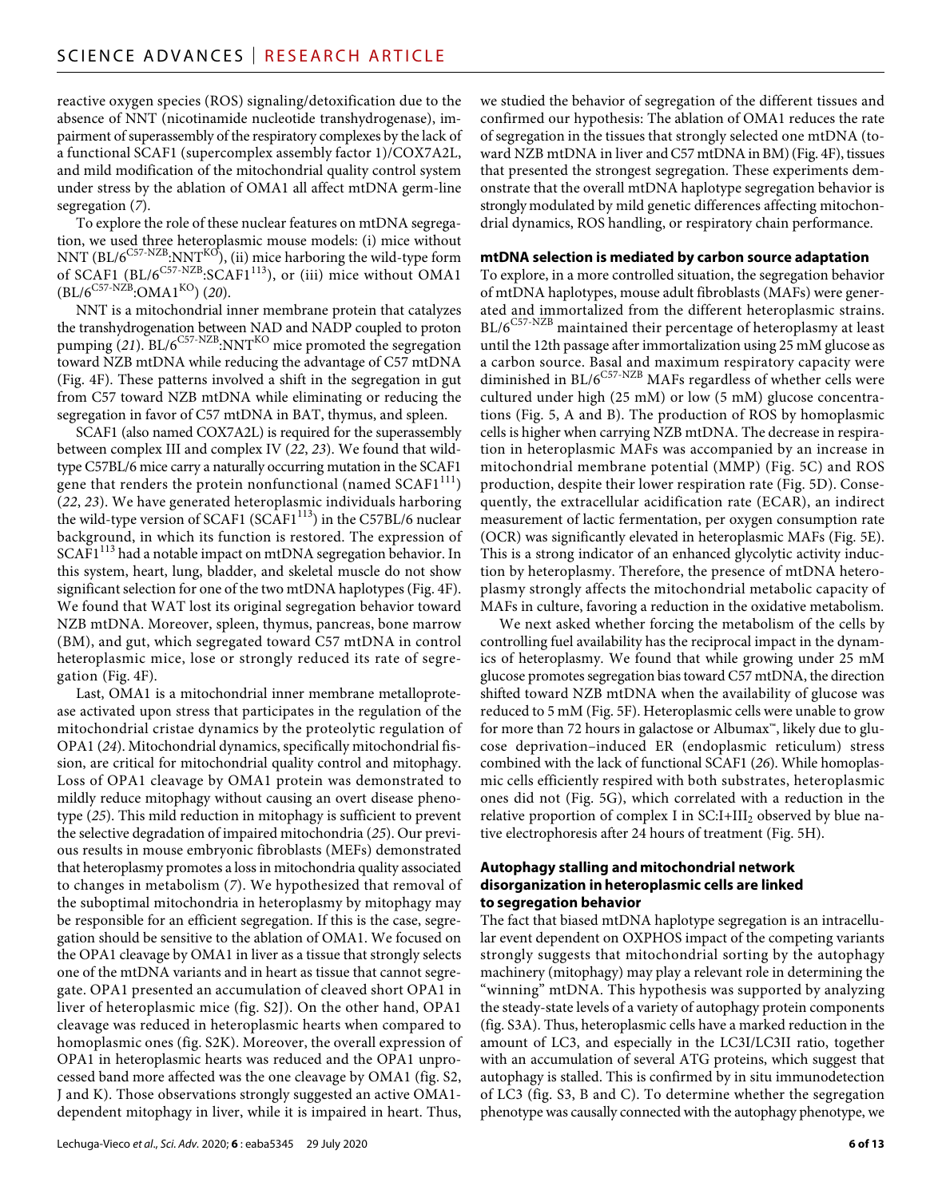reactive oxygen species (ROS) signaling/detoxification due to the absence of NNT (nicotinamide nucleotide transhydrogenase), impairment of superassembly of the respiratory complexes by the lack of a functional SCAF1 (supercomplex assembly factor 1)/COX7A2L, and mild modification of the mitochondrial quality control system under stress by the ablation of OMA1 all affect mtDNA germ-line segregation (*7*).

To explore the role of these nuclear features on mtDNA segregation, we used three heteroplasmic mouse models: (i) mice without NNT ( $BL/6^{C57-NZB}$ :NNT<sup>KO</sup>), (ii) mice harboring the wild-type form of SCAF1 (BL/ $6^{C57-NZB}$ :SCAF1<sup>113</sup>), or (iii) mice without OMA1  $(BL/6^{C57-NZB}$ : $OMA1^{KO}$ ) (20).

NNT is a mitochondrial inner membrane protein that catalyzes the transhydrogenation between NAD and NADP coupled to proton pumping  $(21)$ . BL/6<sup>C57-NZB</sup>:NNT<sup>KO</sup> mice promoted the segregation toward NZB mtDNA while reducing the advantage of C57 mtDNA (Fig. 4F). These patterns involved a shift in the segregation in gut from C57 toward NZB mtDNA while eliminating or reducing the segregation in favor of C57 mtDNA in BAT, thymus, and spleen.

SCAF1 (also named COX7A2L) is required for the superassembly between complex III and complex IV (*22*, *23*). We found that wildtype C57BL/6 mice carry a naturally occurring mutation in the SCAF1 gene that renders the protein nonfunctional (named  $SCAF1<sup>111</sup>$ ) (*22*, *23*). We have generated heteroplasmic individuals harboring the wild-type version of SCAF1 (SCAF1<sup>113</sup>) in the C57BL/6 nuclear background, in which its function is restored. The expression of  $SCAF1<sup>113</sup>$  had a notable impact on mtDNA segregation behavior. In this system, heart, lung, bladder, and skeletal muscle do not show significant selection for one of the two mtDNA haplotypes (Fig. 4F). We found that WAT lost its original segregation behavior toward NZB mtDNA. Moreover, spleen, thymus, pancreas, bone marrow (BM), and gut, which segregated toward C57 mtDNA in control heteroplasmic mice, lose or strongly reduced its rate of segregation (Fig. 4F).

Last, OMA1 is a mitochondrial inner membrane metalloprotease activated upon stress that participates in the regulation of the mitochondrial cristae dynamics by the proteolytic regulation of OPA1 (*24*). Mitochondrial dynamics, specifically mitochondrial fission, are critical for mitochondrial quality control and mitophagy. Loss of OPA1 cleavage by OMA1 protein was demonstrated to mildly reduce mitophagy without causing an overt disease phenotype (*25*). This mild reduction in mitophagy is sufficient to prevent the selective degradation of impaired mitochondria (*25*). Our previous results in mouse embryonic fibroblasts (MEFs) demonstrated that heteroplasmy promotes a loss in mitochondria quality associated to changes in metabolism (*7*). We hypothesized that removal of the suboptimal mitochondria in heteroplasmy by mitophagy may be responsible for an efficient segregation. If this is the case, segregation should be sensitive to the ablation of OMA1. We focused on the OPA1 cleavage by OMA1 in liver as a tissue that strongly selects one of the mtDNA variants and in heart as tissue that cannot segregate. OPA1 presented an accumulation of cleaved short OPA1 in liver of heteroplasmic mice (fig. S2J). On the other hand, OPA1 cleavage was reduced in heteroplasmic hearts when compared to homoplasmic ones (fig. S2K). Moreover, the overall expression of OPA1 in heteroplasmic hearts was reduced and the OPA1 unprocessed band more affected was the one cleavage by OMA1 (fig. S2, J and K). Those observations strongly suggested an active OMA1 dependent mitophagy in liver, while it is impaired in heart. Thus,

we studied the behavior of segregation of the different tissues and confirmed our hypothesis: The ablation of OMA1 reduces the rate of segregation in the tissues that strongly selected one mtDNA (toward NZB mtDNA in liver and C57 mtDNA in BM) (Fig. 4F), tissues that presented the strongest segregation. These experiments demonstrate that the overall mtDNA haplotype segregation behavior is strongly modulated by mild genetic differences affecting mitochondrial dynamics, ROS handling, or respiratory chain performance.

#### **mtDNA selection is mediated by carbon source adaptation**

To explore, in a more controlled situation, the segregation behavior of mtDNA haplotypes, mouse adult fibroblasts (MAFs) were generated and immortalized from the different heteroplasmic strains.  $\rm BL/6^{C57\text{-}NZB}$  maintained their percentage of heteroplasmy at least until the 12th passage after immortalization using 25 mM glucose as a carbon source. Basal and maximum respiratory capacity were diminished in BL/6<sup>C57-NZB</sup> MAFs regardless of whether cells were cultured under high (25 mM) or low (5 mM) glucose concentrations (Fig. 5, A and B). The production of ROS by homoplasmic cells is higher when carrying NZB mtDNA. The decrease in respiration in heteroplasmic MAFs was accompanied by an increase in mitochondrial membrane potential (MMP) (Fig. 5C) and ROS production, despite their lower respiration rate (Fig. 5D). Consequently, the extracellular acidification rate (ECAR), an indirect measurement of lactic fermentation, per oxygen consumption rate (OCR) was significantly elevated in heteroplasmic MAFs (Fig. 5E). This is a strong indicator of an enhanced glycolytic activity induction by heteroplasmy. Therefore, the presence of mtDNA heteroplasmy strongly affects the mitochondrial metabolic capacity of MAFs in culture, favoring a reduction in the oxidative metabolism.

We next asked whether forcing the metabolism of the cells by controlling fuel availability has the reciprocal impact in the dynamics of heteroplasmy. We found that while growing under 25 mM glucose promotes segregation bias toward C57 mtDNA, the direction shifted toward NZB mtDNA when the availability of glucose was reduced to 5 mM (Fig. 5F). Heteroplasmic cells were unable to grow for more than 72 hours in galactose or Albumax™, likely due to glucose deprivation–induced ER (endoplasmic reticulum) stress combined with the lack of functional SCAF1 (*26*). While homoplasmic cells efficiently respired with both substrates, heteroplasmic ones did not (Fig. 5G), which correlated with a reduction in the relative proportion of complex I in SC:I+III<sub>2</sub> observed by blue native electrophoresis after 24 hours of treatment (Fig. 5H).

# **Autophagy stalling and mitochondrial network disorganization in heteroplasmic cells are linked to segregation behavior**

The fact that biased mtDNA haplotype segregation is an intracellular event dependent on OXPHOS impact of the competing variants strongly suggests that mitochondrial sorting by the autophagy machinery (mitophagy) may play a relevant role in determining the "winning" mtDNA. This hypothesis was supported by analyzing the steady-state levels of a variety of autophagy protein components (fig. S3A). Thus, heteroplasmic cells have a marked reduction in the amount of LC3, and especially in the LC3I/LC3II ratio, together with an accumulation of several ATG proteins, which suggest that autophagy is stalled. This is confirmed by in situ immunodetection of LC3 (fig. S3, B and C). To determine whether the segregation phenotype was causally connected with the autophagy phenotype, we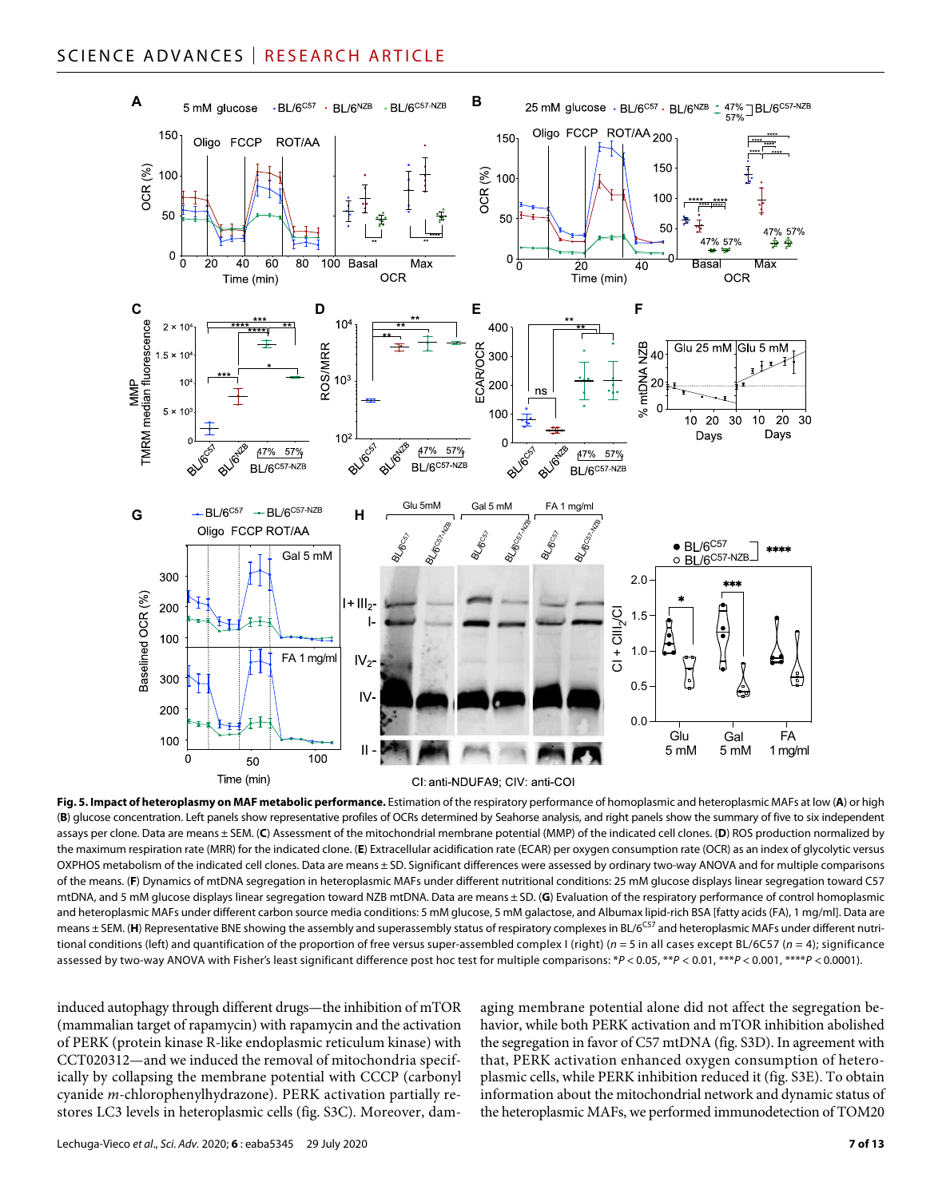

#### CI: anti-NDUFA9; CIV: anti-COI

**Fig. 5. Impact of heteroplasmy on MAF metabolic performance.** Estimation of the respiratory performance of homoplasmic and heteroplasmic MAFs at low (**A**) or high (**B**) glucose concentration. Left panels show representative profiles of OCRs determined by Seahorse analysis, and right panels show the summary of five to six independent assays per clone. Data are means ± SEM. (**C**) Assessment of the mitochondrial membrane potential (MMP) of the indicated cell clones. (**D**) ROS production normalized by the maximum respiration rate (MRR) for the indicated clone. (**E**) Extracellular acidification rate (ECAR) per oxygen consumption rate (OCR) as an index of glycolytic versus OXPHOS metabolism of the indicated cell clones. Data are means ± SD. Significant differences were assessed by ordinary two-way ANOVA and for multiple comparisons of the means. (**F**) Dynamics of mtDNA segregation in heteroplasmic MAFs under different nutritional conditions: 25 mM glucose displays linear segregation toward C57 mtDNA, and 5 mM glucose displays linear segregation toward NZB mtDNA. Data are means ± SD. (**G**) Evaluation of the respiratory performance of control homoplasmic and heteroplasmic MAFs under different carbon source media conditions: 5 mM glucose, 5 mM galactose, and Albumax lipid-rich BSA [fatty acids (FA), 1 mq/ml]. Data are means ± SEM. (H) Representative BNE showing the assembly and superassembly status of respiratory complexes in BL/6<sup>C57</sup> and heteroplasmic MAFs under different nutritional conditions (left) and quantification of the proportion of free versus super-assembled complex I (right) (*n* = 5 in all cases except BL/6C57 (*n* = 4); significance assessed by two-way ANOVA with Fisher's least significant difference post hoc test for multiple comparisons: \**P* < 0.05, \*\**P* < 0.01, \*\*\**P* < 0.001, \*\*\*\**P* < 0.0001).

induced autophagy through different drugs—the inhibition of mTOR (mammalian target of rapamycin) with rapamycin and the activation of PERK (protein kinase R-like endoplasmic reticulum kinase) with CCT020312—and we induced the removal of mitochondria specifically by collapsing the membrane potential with CCCP (carbonyl cyanide *m*-chlorophenylhydrazone). PERK activation partially restores LC3 levels in heteroplasmic cells (fig. S3C). Moreover, dam-

aging membrane potential alone did not affect the segregation behavior, while both PERK activation and mTOR inhibition abolished the segregation in favor of C57 mtDNA (fig. S3D). In agreement with that, PERK activation enhanced oxygen consumption of heteroplasmic cells, while PERK inhibition reduced it (fig. S3E). To obtain information about the mitochondrial network and dynamic status of the heteroplasmic MAFs, we performed immunodetection of TOM20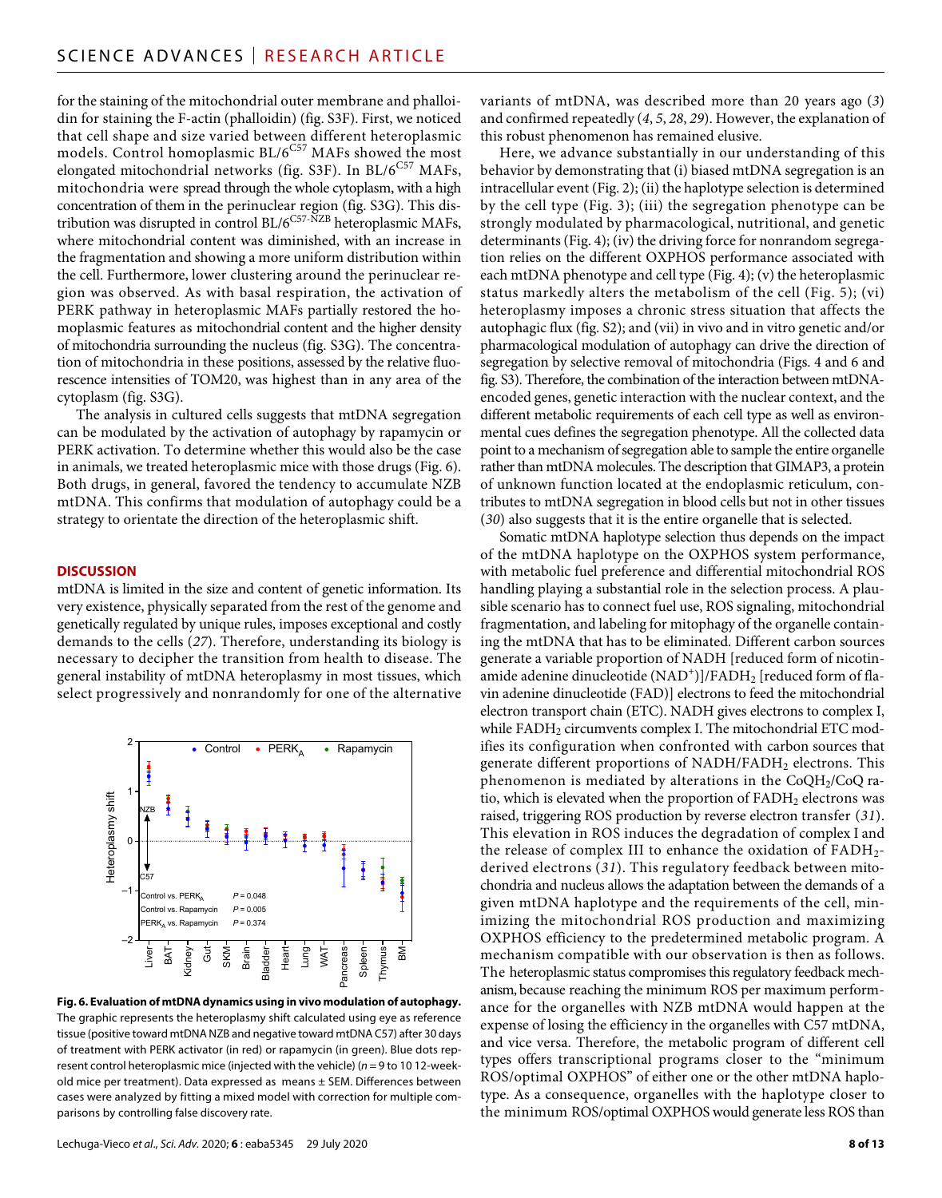for the staining of the mitochondrial outer membrane and phalloidin for staining the F-actin (phalloidin) (fig. S3F). First, we noticed that cell shape and size varied between different heteroplasmic models. Control homoplasmic  $BL/6^{C57}$  MAFs showed the most elongated mitochondrial networks (fig. S3F). In  $\rm BL/6^{C57}$  MAFs, mitochondria were spread through the whole cytoplasm, with a high concentration of them in the perinuclear region (fig. S3G). This distribution was disrupted in control BL/6<sup>C57-NZB</sup> heteroplasmic MAFs, where mitochondrial content was diminished, with an increase in the fragmentation and showing a more uniform distribution within the cell. Furthermore, lower clustering around the perinuclear region was observed. As with basal respiration, the activation of PERK pathway in heteroplasmic MAFs partially restored the homoplasmic features as mitochondrial content and the higher density of mitochondria surrounding the nucleus (fig. S3G). The concentration of mitochondria in these positions, assessed by the relative fluorescence intensities of TOM20, was highest than in any area of the cytoplasm (fig. S3G).

The analysis in cultured cells suggests that mtDNA segregation can be modulated by the activation of autophagy by rapamycin or PERK activation. To determine whether this would also be the case in animals, we treated heteroplasmic mice with those drugs (Fig. 6). Both drugs, in general, favored the tendency to accumulate NZB mtDNA. This confirms that modulation of autophagy could be a strategy to orientate the direction of the heteroplasmic shift.

#### **DISCUSSION**

mtDNA is limited in the size and content of genetic information. Its very existence, physically separated from the rest of the genome and genetically regulated by unique rules, imposes exceptional and costly demands to the cells (*27*). Therefore, understanding its biology is necessary to decipher the transition from health to disease. The general instability of mtDNA heteroplasmy in most tissues, which select progressively and nonrandomly for one of the alternative



**Fig. 6. Evaluation of mtDNA dynamics using in vivo modulation of autophagy.** The graphic represents the heteroplasmy shift calculated using eye as reference tissue (positive toward mtDNA NZB and negative toward mtDNA C57) after 30 days of treatment with PERK activator (in red) or rapamycin (in green). Blue dots represent control heteroplasmic mice (injected with the vehicle) (*n* = 9 to 10 12-weekold mice per treatment). Data expressed as means ± SEM. Differences between cases were analyzed by fitting a mixed model with correction for multiple comparisons by controlling false discovery rate.

variants of mtDNA, was described more than 20 years ago (*3*) and confirmed repeatedly (*4*, *5*, *28*, *29*). However, the explanation of this robust phenomenon has remained elusive.

Here, we advance substantially in our understanding of this behavior by demonstrating that (i) biased mtDNA segregation is an intracellular event (Fig. 2); (ii) the haplotype selection is determined by the cell type (Fig. 3); (iii) the segregation phenotype can be strongly modulated by pharmacological, nutritional, and genetic determinants (Fig. 4); (iv) the driving force for nonrandom segregation relies on the different OXPHOS performance associated with each mtDNA phenotype and cell type (Fig. 4); (v) the heteroplasmic status markedly alters the metabolism of the cell (Fig. 5); (vi) heteroplasmy imposes a chronic stress situation that affects the autophagic flux (fig. S2); and (vii) in vivo and in vitro genetic and/or pharmacological modulation of autophagy can drive the direction of segregation by selective removal of mitochondria (Figs. 4 and 6 and fig. S3). Therefore, the combination of the interaction between mtDNAencoded genes, genetic interaction with the nuclear context, and the different metabolic requirements of each cell type as well as environmental cues defines the segregation phenotype. All the collected data point to a mechanism of segregation able to sample the entire organelle rather than mtDNA molecules. The description that GIMAP3, a protein of unknown function located at the endoplasmic reticulum, contributes to mtDNA segregation in blood cells but not in other tissues (*30*) also suggests that it is the entire organelle that is selected.

Somatic mtDNA haplotype selection thus depends on the impact of the mtDNA haplotype on the OXPHOS system performance, with metabolic fuel preference and differential mitochondrial ROS handling playing a substantial role in the selection process. A plausible scenario has to connect fuel use, ROS signaling, mitochondrial fragmentation, and labeling for mitophagy of the organelle containing the mtDNA that has to be eliminated. Different carbon sources generate a variable proportion of NADH [reduced form of nicotinamide adenine dinucleotide  $(\mathrm{NAD}^+)]/\mathrm{FADH}_2$  [reduced form of flavin adenine dinucleotide (FAD)] electrons to feed the mitochondrial electron transport chain (ETC). NADH gives electrons to complex I, while  $FADH<sub>2</sub>$  circumvents complex I. The mitochondrial ETC modifies its configuration when confronted with carbon sources that generate different proportions of NADH/FADH<sub>2</sub> electrons. This phenomenon is mediated by alterations in the  $CoQH<sub>2</sub>/CoQ$  ratio, which is elevated when the proportion of  $FADH<sub>2</sub>$  electrons was raised, triggering ROS production by reverse electron transfer (*31*). This elevation in ROS induces the degradation of complex I and the release of complex III to enhance the oxidation of  $FADH<sub>2</sub>$ derived electrons (*31*). This regulatory feedback between mitochondria and nucleus allows the adaptation between the demands of a given mtDNA haplotype and the requirements of the cell, minimizing the mitochondrial ROS production and maximizing OXPHOS efficiency to the predetermined metabolic program. A mechanism compatible with our observation is then as follows. The heteroplasmic status compromises this regulatory feedback mechanism, because reaching the minimum ROS per maximum performance for the organelles with NZB mtDNA would happen at the expense of losing the efficiency in the organelles with C57 mtDNA, and vice versa. Therefore, the metabolic program of different cell types offers transcriptional programs closer to the "minimum ROS/optimal OXPHOS" of either one or the other mtDNA haplotype. As a consequence, organelles with the haplotype closer to the minimum ROS/optimal OXPHOS would generate less ROS than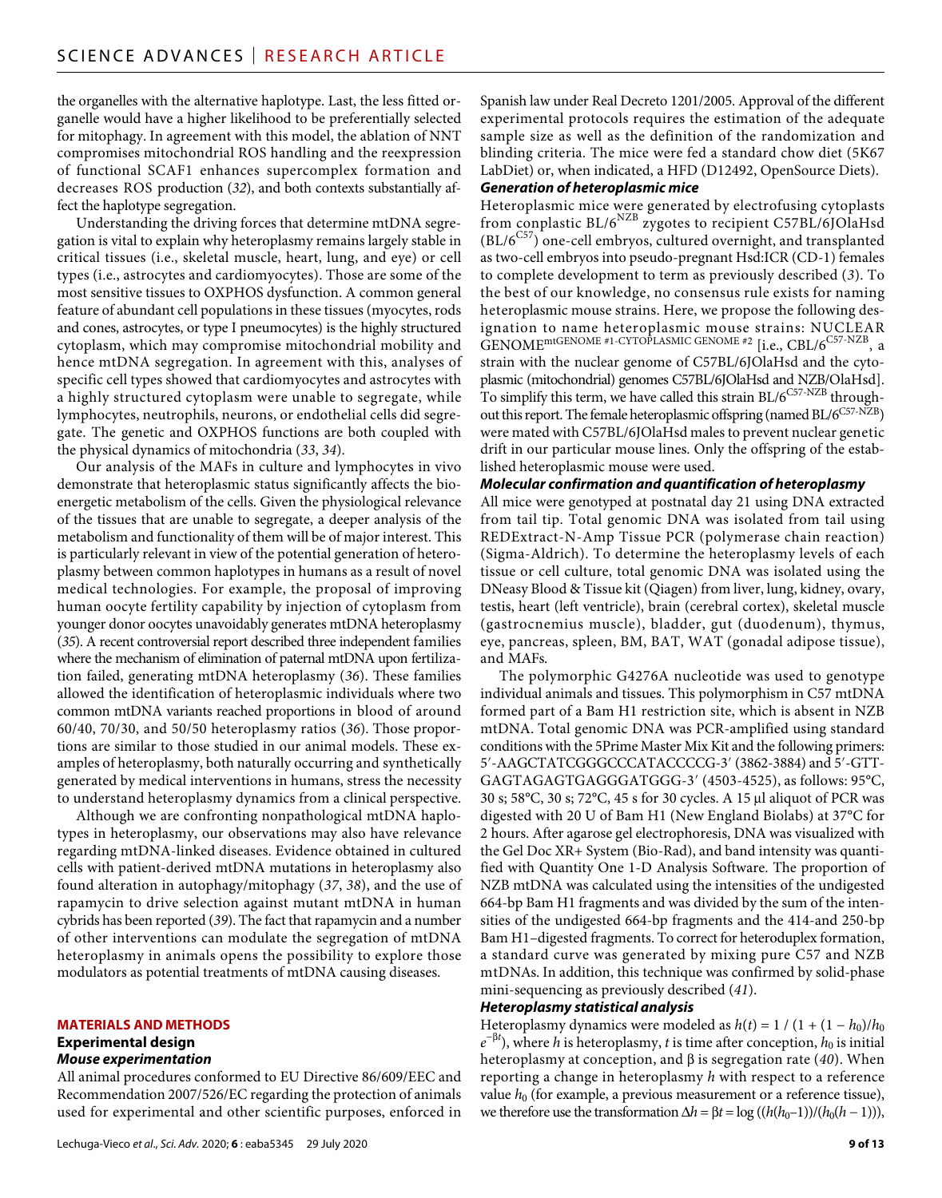the organelles with the alternative haplotype. Last, the less fitted organelle would have a higher likelihood to be preferentially selected for mitophagy. In agreement with this model, the ablation of NNT compromises mitochondrial ROS handling and the reexpression of functional SCAF1 enhances supercomplex formation and decreases ROS production (*32*), and both contexts substantially affect the haplotype segregation.

Understanding the driving forces that determine mtDNA segregation is vital to explain why heteroplasmy remains largely stable in critical tissues (i.e., skeletal muscle, heart, lung, and eye) or cell types (i.e., astrocytes and cardiomyocytes). Those are some of the most sensitive tissues to OXPHOS dysfunction. A common general feature of abundant cell populations in these tissues (myocytes, rods and cones, astrocytes, or type I pneumocytes) is the highly structured cytoplasm, which may compromise mitochondrial mobility and hence mtDNA segregation. In agreement with this, analyses of specific cell types showed that cardiomyocytes and astrocytes with a highly structured cytoplasm were unable to segregate, while lymphocytes, neutrophils, neurons, or endothelial cells did segregate. The genetic and OXPHOS functions are both coupled with the physical dynamics of mitochondria (*33*, *34*).

Our analysis of the MAFs in culture and lymphocytes in vivo demonstrate that heteroplasmic status significantly affects the bioenergetic metabolism of the cells. Given the physiological relevance of the tissues that are unable to segregate, a deeper analysis of the metabolism and functionality of them will be of major interest. This is particularly relevant in view of the potential generation of heteroplasmy between common haplotypes in humans as a result of novel medical technologies. For example, the proposal of improving human oocyte fertility capability by injection of cytoplasm from younger donor oocytes unavoidably generates mtDNA heteroplasmy (*35*). A recent controversial report described three independent families where the mechanism of elimination of paternal mtDNA upon fertilization failed, generating mtDNA heteroplasmy (*36*). These families allowed the identification of heteroplasmic individuals where two common mtDNA variants reached proportions in blood of around 60/40, 70/30, and 50/50 heteroplasmy ratios (*36*). Those proportions are similar to those studied in our animal models. These examples of heteroplasmy, both naturally occurring and synthetically generated by medical interventions in humans, stress the necessity to understand heteroplasmy dynamics from a clinical perspective.

Although we are confronting nonpathological mtDNA haplotypes in heteroplasmy, our observations may also have relevance regarding mtDNA-linked diseases. Evidence obtained in cultured cells with patient-derived mtDNA mutations in heteroplasmy also found alteration in autophagy/mitophagy (*37*, *38*), and the use of rapamycin to drive selection against mutant mtDNA in human cybrids has been reported (*39*). The fact that rapamycin and a number of other interventions can modulate the segregation of mtDNA heteroplasmy in animals opens the possibility to explore those modulators as potential treatments of mtDNA causing diseases.

#### **MATERIALS AND METHODS**

#### **Experimental design**

#### *Mouse experimentation*

All animal procedures conformed to EU Directive 86/609/EEC and Recommendation 2007/526/EC regarding the protection of animals used for experimental and other scientific purposes, enforced in

Spanish law under Real Decreto 1201/2005. Approval of the different experimental protocols requires the estimation of the adequate sample size as well as the definition of the randomization and blinding criteria. The mice were fed a standard chow diet (5K67 LabDiet) or, when indicated, a HFD (D12492, OpenSource Diets).

# *Generation of heteroplasmic mice*

Heteroplasmic mice were generated by electrofusing cytoplasts from conplastic BL/6NZB zygotes to recipient C57BL/6JOlaHsd  $(BL/6<sup>CS7</sup>)$  one-cell embryos, cultured overnight, and transplanted as two-cell embryos into pseudo-pregnant Hsd:ICR (CD-1) females to complete development to term as previously described (*3*). To the best of our knowledge, no consensus rule exists for naming heteroplasmic mouse strains. Here, we propose the following designation to name heteroplasmic mouse strains: NUCLEAR GENOME<sup>mtGENOME</sup> #1-CYTOPLASMIC GENOME #2 [i.e., CBL/6<sup>C57-NZB</sup>, a strain with the nuclear genome of C57BL/6JOlaHsd and the cytoplasmic (mitochondrial) genomes C57BL/6JOlaHsd and NZB/OlaHsd]. To simplify this term, we have called this strain  $BL/6^{C57\text{-}NZB}$  throughout this report. The female heteroplasmic offspring (named BL/6C57-NZB) were mated with C57BL/6JOlaHsd males to prevent nuclear genetic drift in our particular mouse lines. Only the offspring of the established heteroplasmic mouse were used.

### *Molecular confirmation and quantification of heteroplasmy*

All mice were genotyped at postnatal day 21 using DNA extracted from tail tip. Total genomic DNA was isolated from tail using REDExtract-N-Amp Tissue PCR (polymerase chain reaction) (Sigma-Aldrich). To determine the heteroplasmy levels of each tissue or cell culture, total genomic DNA was isolated using the DNeasy Blood & Tissue kit (Qiagen) from liver, lung, kidney, ovary, testis, heart (left ventricle), brain (cerebral cortex), skeletal muscle (gastrocnemius muscle), bladder, gut (duodenum), thymus, eye, pancreas, spleen, BM, BAT, WAT (gonadal adipose tissue), and MAFs.

The polymorphic G4276A nucleotide was used to genotype individual animals and tissues. This polymorphism in C57 mtDNA formed part of a Bam H1 restriction site, which is absent in NZB mtDNA. Total genomic DNA was PCR-amplified using standard conditions with the 5Prime Master Mix Kit and the following primers: 5′-AAGCTATCGGGCCCATACCCCG-3′ (3862-3884) and 5′-GTT-GAGTAGAGTGAGGGATGGG-3′ (4503-4525), as follows: 95°C, 30 s; 58°C, 30 s; 72°C, 45 s for 30 cycles. A 15 µl aliquot of PCR was digested with 20 U of Bam H1 (New England Biolabs) at 37°C for 2 hours. After agarose gel electrophoresis, DNA was visualized with the Gel Doc XR+ System (Bio-Rad), and band intensity was quantified with Quantity One 1-D Analysis Software. The proportion of NZB mtDNA was calculated using the intensities of the undigested 664-bp Bam H1 fragments and was divided by the sum of the intensities of the undigested 664-bp fragments and the 414-and 250-bp Bam H1–digested fragments. To correct for heteroduplex formation, a standard curve was generated by mixing pure C57 and NZB mtDNAs. In addition, this technique was confirmed by solid-phase mini-sequencing as previously described (*41*).

## *Heteroplasmy statistical analysis*

Heteroplasmy dynamics were modeled as  $h(t) = 1 / (1 + (1 - h_0)/h_0)$  $e^{-\beta t}$ ), where *h* is heteroplasmy, *t* is time after conception, *h*<sub>0</sub> is initial heteroplasmy at conception, and  $\beta$  is segregation rate (40). When reporting a change in heteroplasmy *h* with respect to a reference value  $h_0$  (for example, a previous measurement or a reference tissue), we therefore use the transformation  $\Delta h = \beta t = \log((h(h_0-1))/(h_0(h-1)))$ ,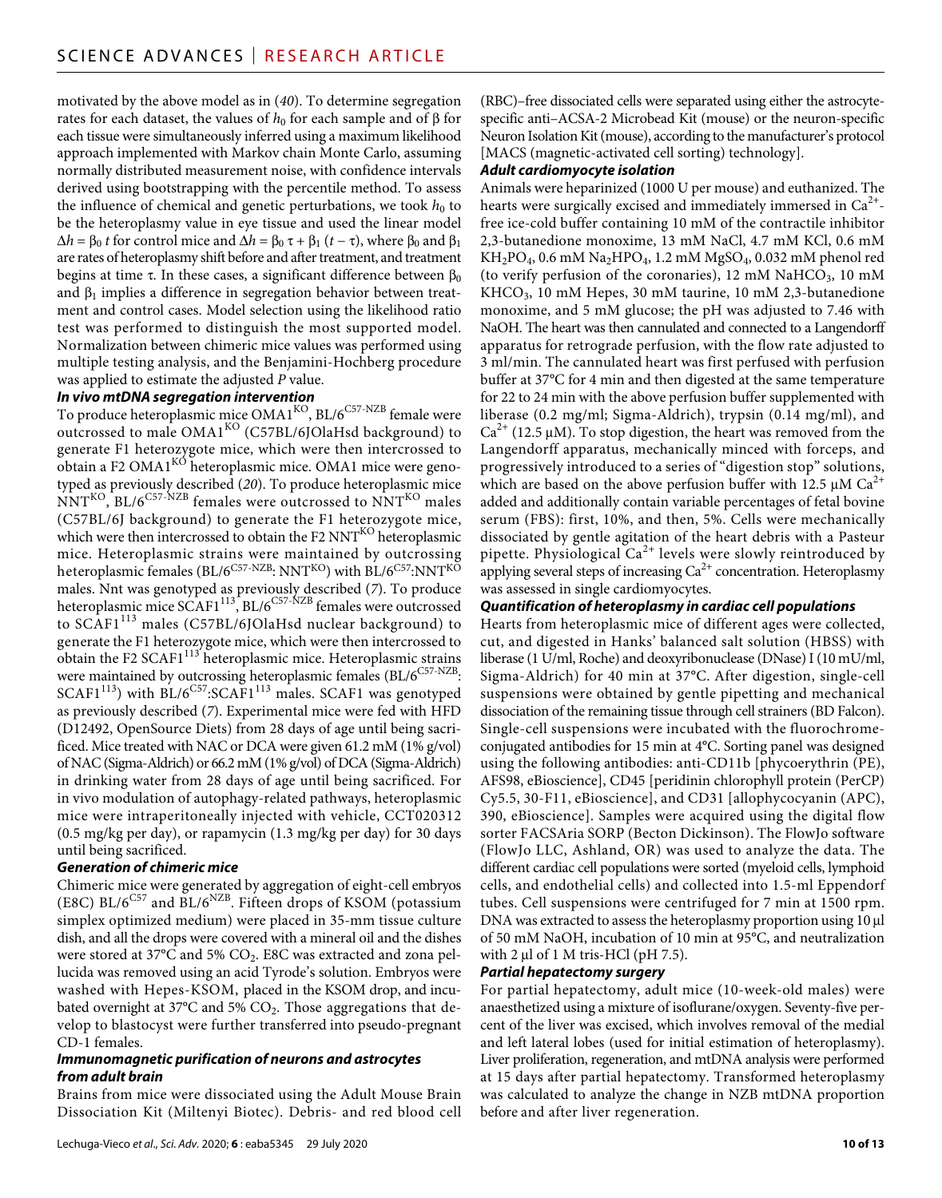motivated by the above model as in (*40*). To determine segregation rates for each dataset, the values of  $h_0$  for each sample and of  $\beta$  for each tissue were simultaneously inferred using a maximum likelihood approach implemented with Markov chain Monte Carlo, assuming normally distributed measurement noise, with confidence intervals derived using bootstrapping with the percentile method. To assess the influence of chemical and genetic perturbations, we took  $h_0$  to be the heteroplasmy value in eye tissue and used the linear model  $Δh = β<sub>0</sub> t$  for control mice and  $Δh = β<sub>0</sub> τ + β<sub>1</sub> (t − τ)$ , where  $β<sub>0</sub>$  and  $β<sub>1</sub>$ are rates of heteroplasmy shift before and after treatment, and treatment begins at time  $\tau$ . In these cases, a significant difference between  $\beta_0$ and  $\beta_1$  implies a difference in segregation behavior between treatment and control cases. Model selection using the likelihood ratio test was performed to distinguish the most supported model. Normalization between chimeric mice values was performed using multiple testing analysis, and the Benjamini-Hochberg procedure was applied to estimate the adjusted *P* value.

# *In vivo mtDNA segregation intervention*

To produce heteroplasmic mice  $OMAI^{KO}$ ,  $BL/6^{C57-NZB}$  female were outcrossed to male OMA1<sup>KO</sup> (C57BL/6JOlaHsd background) to generate F1 heterozygote mice, which were then intercrossed to obtain a F2 OMA1<sup>KO</sup> heteroplasmic mice. OMA1 mice were genotyped as previously described (*20*). To produce heteroplasmic mice  $NNT<sup>KO</sup>$ , BL/6<sup>C57-NZB</sup> females were outcrossed to  $NNT<sup>KO</sup>$  males (C57BL/6J background) to generate the F1 heterozygote mice, which were then intercrossed to obtain the F2 NNT<sup>KO</sup> heteroplasmic mice. Heteroplasmic strains were maintained by outcrossing heteroplasmic females (BL/ $6^{C57-NZB}$ : NNT<sup>KO</sup>) with BL/ $6^{C57}$ :NNT<sup>KO</sup> males. Nnt was genotyped as previously described (*7*). To produce heteroplasmic mice SCAF1<sup>113</sup>, BL/6<sup>C57-NZB</sup> females were outcrossed to SCAF1113 males (C57BL/6JOlaHsd nuclear background) to generate the F1 heterozygote mice, which were then intercrossed to obtain the F2 SCAF1<sup>113</sup> heteroplasmic mice. Heteroplasmic strains were maintained by outcrossing heteroplasmic females (BL/6C57-NZB:  $SCAF1<sup>113</sup>$ ) with BL/6<sup>C57</sup>:SCAF1<sup>113</sup> males. SCAF1 was genotyped as previously described (*7*). Experimental mice were fed with HFD (D12492, OpenSource Diets) from 28 days of age until being sacrificed. Mice treated with NAC or DCA were given 61.2 mM (1% g/vol) of NAC (Sigma-Aldrich) or 66.2 mM (1% g/vol) of DCA (Sigma-Aldrich) in drinking water from 28 days of age until being sacrificed. For in vivo modulation of autophagy-related pathways, heteroplasmic mice were intraperitoneally injected with vehicle, CCT020312 (0.5 mg/kg per day), or rapamycin (1.3 mg/kg per day) for 30 days until being sacrificed.

# *Generation of chimeric mice*

Chimeric mice were generated by aggregation of eight-cell embryos (E8C) BL/ $6^{C57}$  and BL/ $6^{NZB}$ . Fifteen drops of KSOM (potassium simplex optimized medium) were placed in 35-mm tissue culture dish, and all the drops were covered with a mineral oil and the dishes were stored at 37°C and 5% CO<sub>2</sub>. E8C was extracted and zona pellucida was removed using an acid Tyrode's solution. Embryos were washed with Hepes-KSOM, placed in the KSOM drop, and incubated overnight at  $37^{\circ}$ C and  $5\%$  CO<sub>2</sub>. Those aggregations that develop to blastocyst were further transferred into pseudo-pregnant CD-1 females.

### *Immunomagnetic purification of neurons and astrocytes from adult brain*

Brains from mice were dissociated using the Adult Mouse Brain Dissociation Kit (Miltenyi Biotec). Debris- and red blood cell

Lechuga-Vieco *et al*., *Sci. Adv.* 2020; **6** : eaba5345 29 July 2020

(RBC)–free dissociated cells were separated using either the astrocytespecific anti–ACSA-2 Microbead Kit (mouse) or the neuron-specific Neuron Isolation Kit (mouse), according to the manufacturer's protocol [MACS (magnetic-activated cell sorting) technology].

# *Adult cardiomyocyte isolation*

Animals were heparinized (1000 U per mouse) and euthanized. The hearts were surgically excised and immediately immersed in  $Ca^{2+}$ free ice-cold buffer containing 10 mM of the contractile inhibitor 2,3-butanedione monoxime, 13 mM NaCl, 4.7 mM KCl, 0.6 mM  $KH_2PO_4$ , 0.6 mM Na<sub>2</sub>HPO<sub>4</sub>, 1.2 mM MgSO<sub>4</sub>, 0.032 mM phenol red (to verify perfusion of the coronaries), 12 mM  $NaHCO<sub>3</sub>$ , 10 mM KHCO3, 10 mM Hepes, 30 mM taurine, 10 mM 2,3-butanedione monoxime, and 5 mM glucose; the pH was adjusted to 7.46 with NaOH. The heart was then cannulated and connected to a Langendorff apparatus for retrograde perfusion, with the flow rate adjusted to 3 ml/min. The cannulated heart was first perfused with perfusion buffer at 37°C for 4 min and then digested at the same temperature for 22 to 24 min with the above perfusion buffer supplemented with liberase (0.2 mg/ml; Sigma-Aldrich), trypsin (0.14 mg/ml), and  $Ca^{2+}$  (12.5 µM). To stop digestion, the heart was removed from the Langendorff apparatus, mechanically minced with forceps, and progressively introduced to a series of "digestion stop" solutions, which are based on the above perfusion buffer with 12.5  $\mu$ M Ca<sup>2+</sup> added and additionally contain variable percentages of fetal bovine serum (FBS): first, 10%, and then, 5%. Cells were mechanically dissociated by gentle agitation of the heart debris with a Pasteur pipette. Physiological  $Ca^{2+}$  levels were slowly reintroduced by applying several steps of increasing  $Ca<sup>2+</sup>$  concentration. Heteroplasmy was assessed in single cardiomyocytes.

# *Quantification of heteroplasmy in cardiac cell populations*

Hearts from heteroplasmic mice of different ages were collected, cut, and digested in Hanks' balanced salt solution (HBSS) with liberase (1 U/ml, Roche) and deoxyribonuclease (DNase) I (10 mU/ml, Sigma-Aldrich) for 40 min at 37°C. After digestion, single-cell suspensions were obtained by gentle pipetting and mechanical dissociation of the remaining tissue through cell strainers (BD Falcon). Single-cell suspensions were incubated with the fluorochromeconjugated antibodies for 15 min at 4°C. Sorting panel was designed using the following antibodies: anti-CD11b [phycoerythrin (PE), AFS98, eBioscience], CD45 [peridinin chlorophyll protein (PerCP) Cy5.5, 30-F11, eBioscience], and CD31 [allophycocyanin (APC), 390, eBioscience]. Samples were acquired using the digital flow sorter FACSAria SORP (Becton Dickinson). The FlowJo software (FlowJo LLC, Ashland, OR) was used to analyze the data. The different cardiac cell populations were sorted (myeloid cells, lymphoid cells, and endothelial cells) and collected into 1.5-ml Eppendorf tubes. Cell suspensions were centrifuged for 7 min at 1500 rpm. DNA was extracted to assess the heteroplasmy proportion using  $10 \mu l$ of 50 mM NaOH, incubation of 10 min at 95°C, and neutralization with  $2 \mu$ l of 1 M tris-HCl (pH 7.5).

### *Partial hepatectomy surgery*

For partial hepatectomy, adult mice (10-week-old males) were anaesthetized using a mixture of isoflurane/oxygen. Seventy-five percent of the liver was excised, which involves removal of the medial and left lateral lobes (used for initial estimation of heteroplasmy). Liver proliferation, regeneration, and mtDNA analysis were performed at 15 days after partial hepatectomy. Transformed heteroplasmy was calculated to analyze the change in NZB mtDNA proportion before and after liver regeneration.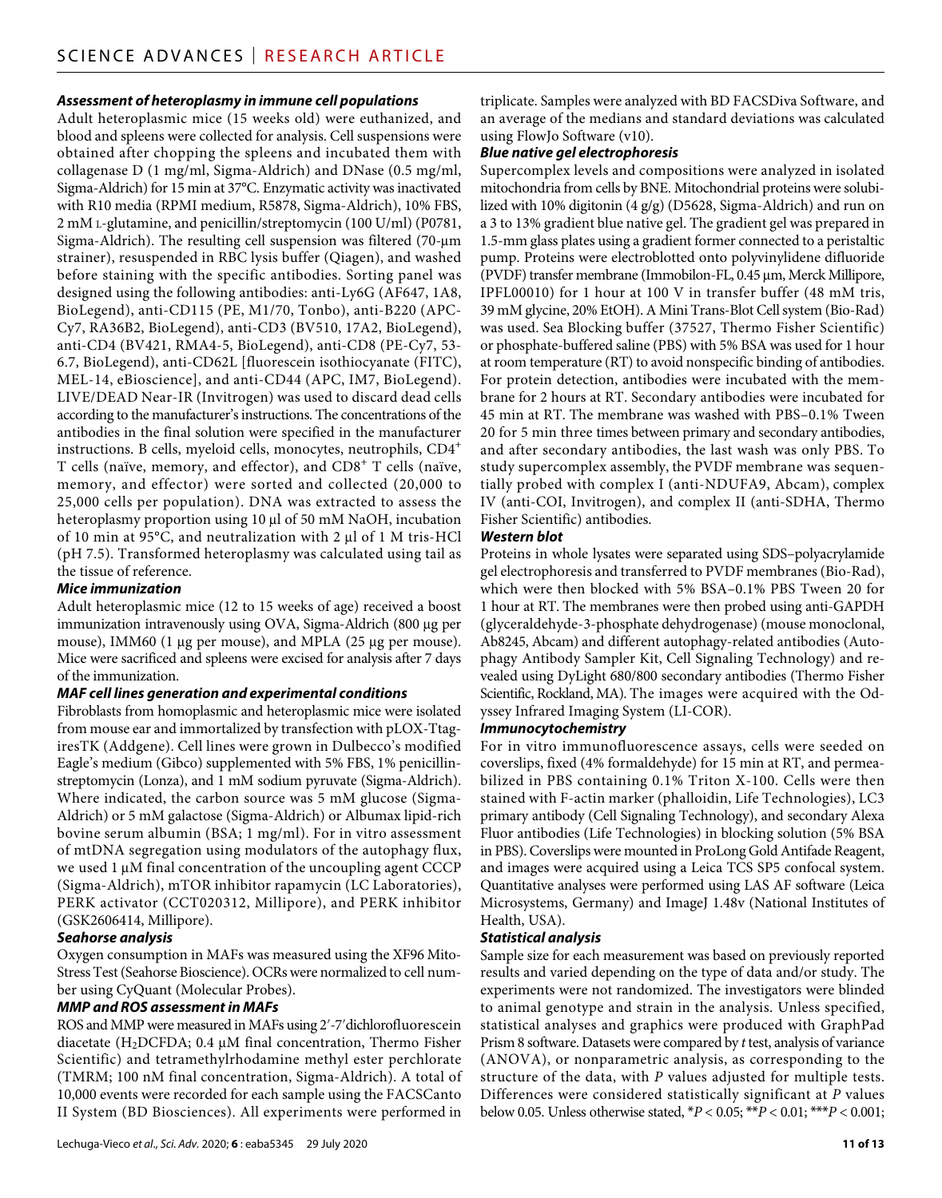# *Assessment of heteroplasmy in immune cell populations*

Adult heteroplasmic mice (15 weeks old) were euthanized, and blood and spleens were collected for analysis. Cell suspensions were obtained after chopping the spleens and incubated them with collagenase D (1 mg/ml, Sigma-Aldrich) and DNase (0.5 mg/ml, Sigma-Aldrich) for 15 min at 37°C. Enzymatic activity was inactivated with R10 media (RPMI medium, R5878, Sigma-Aldrich), 10% FBS, 2 mM l-glutamine, and penicillin/streptomycin (100 U/ml) (P0781, Sigma-Aldrich). The resulting cell suspension was filtered (70-m strainer), resuspended in RBC lysis buffer (Qiagen), and washed before staining with the specific antibodies. Sorting panel was designed using the following antibodies: anti-Ly6G (AF647, 1A8, BioLegend), anti-CD115 (PE, M1/70, Tonbo), anti-B220 (APC-Cy7, RA36B2, BioLegend), anti-CD3 (BV510, 17A2, BioLegend), anti-CD4 (BV421, RMA4-5, BioLegend), anti-CD8 (PE-Cy7, 53- 6.7, BioLegend), anti-CD62L [fluorescein isothiocyanate (FITC), MEL-14, eBioscience], and anti-CD44 (APC, IM7, BioLegend). LIVE/DEAD Near-IR (Invitrogen) was used to discard dead cells according to the manufacturer's instructions. The concentrations of the antibodies in the final solution were specified in the manufacturer instructions. B cells, myeloid cells, monocytes, neutrophils, CD4<sup>+</sup> T cells (naïve, memory, and effector), and CD8<sup>+</sup> T cells (naïve, memory, and effector) were sorted and collected (20,000 to 25,000 cells per population). DNA was extracted to assess the heteroplasmy proportion using 10 µl of 50 mM NaOH, incubation of 10 min at 95°C, and neutralization with 2 µl of 1 M tris-HCl (pH 7.5). Transformed heteroplasmy was calculated using tail as the tissue of reference.

# *Mice immunization*

Adult heteroplasmic mice (12 to 15 weeks of age) received a boost immunization intravenously using OVA, Sigma-Aldrich (800 µg per mouse), IMM60 (1 µg per mouse), and MPLA (25 µg per mouse). Mice were sacrificed and spleens were excised for analysis after 7 days of the immunization.

## *MAF cell lines generation and experimental conditions*

Fibroblasts from homoplasmic and heteroplasmic mice were isolated from mouse ear and immortalized by transfection with pLOX-TtagiresTK (Addgene). Cell lines were grown in Dulbecco's modified Eagle's medium (Gibco) supplemented with 5% FBS, 1% penicillinstreptomycin (Lonza), and 1 mM sodium pyruvate (Sigma-Aldrich). Where indicated, the carbon source was 5 mM glucose (Sigma-Aldrich) or 5 mM galactose (Sigma-Aldrich) or Albumax lipid-rich bovine serum albumin (BSA; 1 mg/ml). For in vitro assessment of mtDNA segregation using modulators of the autophagy flux, we used  $1 \mu$ M final concentration of the uncoupling agent CCCP (Sigma-Aldrich), mTOR inhibitor rapamycin (LC Laboratories), PERK activator (CCT020312, Millipore), and PERK inhibitor (GSK2606414, Millipore).

### *Seahorse analysis*

Oxygen consumption in MAFs was measured using the XF96 Mito-Stress Test (Seahorse Bioscience). OCRs were normalized to cell number using CyQuant (Molecular Probes).

# *MMP and ROS assessment in MAFs*

ROS and MMP were measured in MAFs using 2′-7′dichlorofluorescein diacetate (H<sub>2</sub>DCFDA; 0.4  $\mu$ M final concentration, Thermo Fisher Scientific) and tetramethylrhodamine methyl ester perchlorate (TMRM; 100 nM final concentration, Sigma-Aldrich). A total of 10,000 events were recorded for each sample using the FACSCanto II System (BD Biosciences). All experiments were performed in

triplicate. Samples were analyzed with BD FACSDiva Software, and an average of the medians and standard deviations was calculated using FlowJo Software (v10).

## *Blue native gel electrophoresis*

Supercomplex levels and compositions were analyzed in isolated mitochondria from cells by BNE. Mitochondrial proteins were solubilized with 10% digitonin (4 g/g) (D5628, Sigma-Aldrich) and run on a 3 to 13% gradient blue native gel. The gradient gel was prepared in 1.5-mm glass plates using a gradient former connected to a peristaltic pump. Proteins were electroblotted onto polyvinylidene difluoride (PVDF) transfer membrane (Immobilon-FL, 0.45 µm, Merck Millipore, IPFL00010) for 1 hour at 100 V in transfer buffer (48 mM tris, 39 mM glycine, 20% EtOH). A Mini Trans-Blot Cell system (Bio-Rad) was used. Sea Blocking buffer (37527, Thermo Fisher Scientific) or phosphate-buffered saline (PBS) with 5% BSA was used for 1 hour at room temperature (RT) to avoid nonspecific binding of antibodies. For protein detection, antibodies were incubated with the membrane for 2 hours at RT. Secondary antibodies were incubated for 45 min at RT. The membrane was washed with PBS–0.1% Tween 20 for 5 min three times between primary and secondary antibodies, and after secondary antibodies, the last wash was only PBS. To study supercomplex assembly, the PVDF membrane was sequentially probed with complex I (anti-NDUFA9, Abcam), complex IV (anti-COI, Invitrogen), and complex II (anti-SDHA, Thermo Fisher Scientific) antibodies.

# *Western blot*

Proteins in whole lysates were separated using SDS–polyacrylamide gel electrophoresis and transferred to PVDF membranes (Bio-Rad), which were then blocked with 5% BSA–0.1% PBS Tween 20 for 1 hour at RT. The membranes were then probed using anti-GAPDH (glyceraldehyde-3-phosphate dehydrogenase) (mouse monoclonal, Ab8245, Abcam) and different autophagy-related antibodies (Autophagy Antibody Sampler Kit, Cell Signaling Technology) and revealed using DyLight 680/800 secondary antibodies (Thermo Fisher Scientific, Rockland, MA). The images were acquired with the Odyssey Infrared Imaging System (LI-COR).

### *Immunocytochemistry*

For in vitro immunofluorescence assays, cells were seeded on coverslips, fixed (4% formaldehyde) for 15 min at RT, and permeabilized in PBS containing 0.1% Triton X-100. Cells were then stained with F-actin marker (phalloidin, Life Technologies), LC3 primary antibody (Cell Signaling Technology), and secondary Alexa Fluor antibodies (Life Technologies) in blocking solution (5% BSA in PBS). Coverslips were mounted in ProLong Gold Antifade Reagent, and images were acquired using a Leica TCS SP5 confocal system. Quantitative analyses were performed using LAS AF software (Leica Microsystems, Germany) and ImageJ 1.48v (National Institutes of Health, USA).

### *Statistical analysis*

Sample size for each measurement was based on previously reported results and varied depending on the type of data and/or study. The experiments were not randomized. The investigators were blinded to animal genotype and strain in the analysis. Unless specified, statistical analyses and graphics were produced with GraphPad Prism 8 software. Datasets were compared by *t* test, analysis of variance (ANOVA), or nonparametric analysis, as corresponding to the structure of the data, with *P* values adjusted for multiple tests. Differences were considered statistically significant at *P* values below 0.05. Unless otherwise stated, \**P* < 0.05; \*\**P* < 0.01; \*\*\**P* < 0.001;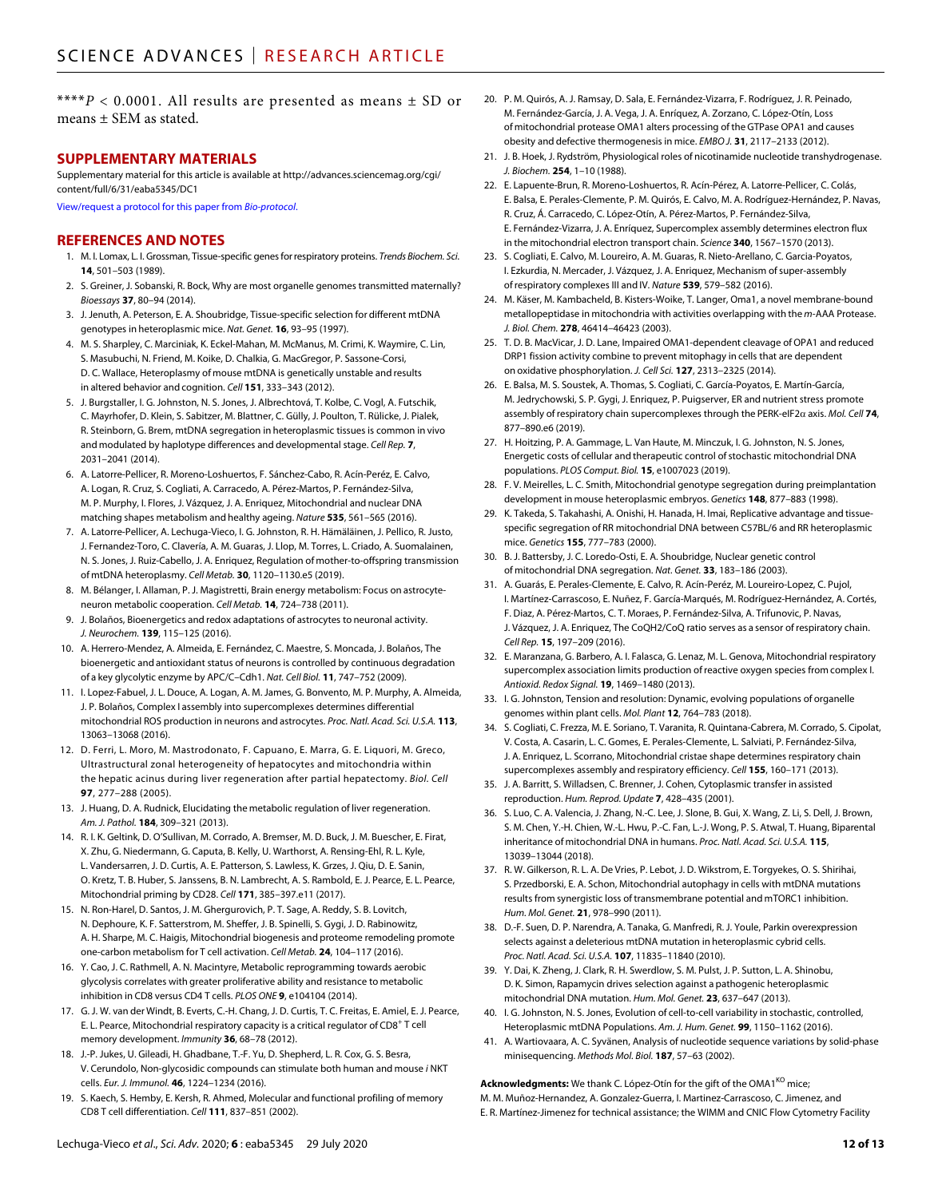\*\*\*\**P* < 0.0001. All results are presented as means ± SD or means ± SEM as stated.

### **SUPPLEMENTARY MATERIALS**

Supplementary material for this article is available at [http://advances.sciencemag.org/cgi/](http://advances.sciencemag.org/cgi/content/full/6/31/eaba5345/DC1) [content/full/6/31/eaba5345/DC1](http://advances.sciencemag.org/cgi/content/full/6/31/eaba5345/DC1)

[View/request a protocol for this paper from](https://en.bio-protocol.org/cjrap.aspx?eid=10.1126/sciadv.aba5345) *Bio-protocol*.

# **REFERENCES AND NOTES**

- 1. M. I. Lomax, L. I. Grossman, Tissue-specific genes forrespiratory proteins. *Trends Biochem. Sci.* **14**, 501–503 (1989).
- 2. S. Greiner, J. Sobanski, R. Bock, Why are most organelle genomes transmitted maternally? *Bioessays* **37**, 80–94 (2014).
- 3. J. Jenuth, A. Peterson, E. A. Shoubridge, Tissue-specific selection for different mtDNA genotypes in heteroplasmic mice. *Nat. Genet.* **16**, 93–95 (1997).
- 4. M. S. Sharpley, C. Marciniak, K. Eckel-Mahan, M. McManus, M. Crimi, K. Waymire, C. Lin, S. Masubuchi, N. Friend, M. Koike, D. Chalkia, G. MacGregor, P. Sassone-Corsi, D. C. Wallace, Heteroplasmy of mouse mtDNA is genetically unstable and results in altered behavior and cognition. *Cell* **151**, 333–343 (2012).
- 5. J. Burgstaller, I. G. Johnston, N. S. Jones, J. Albrechtová, T. Kolbe, C. Vogl, A. Futschik, C. Mayrhofer, D. Klein, S. Sabitzer, M. Blattner, C. Gülly, J. Poulton, T. Rülicke, J. Pialek, R. Steinborn, G. Brem, mtDNA segregation in heteroplasmic tissues is common in vivo and modulated by haplotype differences and developmental stage. *Cell Rep.* **7**, 2031–2041 (2014).
- 6. A. Latorre-Pellicer, R. Moreno-Loshuertos, F. Sánchez-Cabo, R. Acín-Peréz, E. Calvo, A. Logan, R. Cruz, S. Cogliati, A. Carracedo, A. Pérez-Martos, P. Fernández-Silva, M. P. Murphy, I. Flores, J. Vázquez, J. A. Enriquez, Mitochondrial and nuclear DNA matching shapes metabolism and healthy ageing. *Nature* **535**, 561–565 (2016).
- 7. A. Latorre-Pellicer, A. Lechuga-Vieco, I. G. Johnston, R. H. Hämäläinen, J. Pellico, R. Justo, J. Fernandez-Toro, C. Clavería, A. M. Guaras, J. Llop, M. Torres, L. Criado, A. Suomalainen, N. S. Jones, J. Ruiz-Cabello, J. A. Enriquez, Regulation of mother-to-offspring transmission of mtDNA heteroplasmy. *Cell Metab.* **30**, 1120–1130.e5 (2019).
- 8. M. Bélanger, I. Allaman, P. J. Magistretti, Brain energy metabolism: Focus on astrocyteneuron metabolic cooperation. *Cell Metab.* **14**, 724–738 (2011).
- 9. J. Bolaños, Bioenergetics and redox adaptations of astrocytes to neuronal activity. *J. Neurochem.* **139**, 115–125 (2016).
- 10. A. Herrero-Mendez, A. Almeida, E. Fernández, C. Maestre, S. Moncada, J. Bolaños, The bioenergetic and antioxidant status of neurons is controlled by continuous degradation of a key glycolytic enzyme by APC/C–Cdh1. *Nat. Cell Biol.* **11**, 747–752 (2009).
- 11. I. Lopez-Fabuel, J. L. Douce, A. Logan, A. M. James, G. Bonvento, M. P. Murphy, A. Almeida, J. P. Bolaños, Complex I assembly into supercomplexes determines differential mitochondrial ROS production in neurons and astrocytes. *Proc. Natl. Acad. Sci. U.S.A.* **113**, 13063–13068 (2016).
- 12. D. Ferri, L. Moro, M. Mastrodonato, F. Capuano, E. Marra, G. E. Liquori, M. Greco, Ultrastructural zonal heterogeneity of hepatocytes and mitochondria within the hepatic acinus during liver regeneration after partial hepatectomy. *Biol. Cell* **97**, 277–288 (2005).
- 13. J. Huang, D. A. Rudnick, Elucidating the metabolic regulation of liver regeneration. *Am. J. Pathol.* **184**, 309–321 (2013).
- 14. R. I. K. Geltink, D. O'Sullivan, M. Corrado, A. Bremser, M. D. Buck, J. M. Buescher, E. Firat, X. Zhu, G. Niedermann, G. Caputa, B. Kelly, U. Warthorst, A. Rensing-Ehl, R. L. Kyle, L. Vandersarren, J. D. Curtis, A. E. Patterson, S. Lawless, K. Grzes, J. Qiu, D. E. Sanin, O. Kretz, T. B. Huber, S. Janssens, B. N. Lambrecht, A. S. Rambold, E. J. Pearce, E. L. Pearce, Mitochondrial priming by CD28. *Cell* **171**, 385–397.e11 (2017).
- 15. N. Ron-Harel, D. Santos, J. M. Ghergurovich, P. T. Sage, A. Reddy, S. B. Lovitch, N. Dephoure, K. F. Satterstrom, M. Sheffer, J. B. Spinelli, S. Gygi, J. D. Rabinowitz, A. H. Sharpe, M. C. Haigis, Mitochondrial biogenesis and proteome remodeling promote one-carbon metabolism for T cell activation. *Cell Metab.* **24**, 104–117 (2016).
- 16. Y. Cao, J. C. Rathmell, A. N. Macintyre, Metabolic reprogramming towards aerobic glycolysis correlates with greater proliferative ability and resistance to metabolic inhibition in CD8 versus CD4 T cells. *PLOS ONE* **9**, e104104 (2014).
- 17. G. J. W. van der Windt, B. Everts, C.-H. Chang, J. D. Curtis, T. C. Freitas, E. Amiel, E. J. Pearce, E. L. Pearce, Mitochondrial respiratory capacity is a critical regulator of CD8<sup>+</sup> T cell memory development. *Immunity* **36**, 68–78 (2012).
- 18. J.-P. Jukes, U. Gileadi, H. Ghadbane, T.-F. Yu, D. Shepherd, L. R. Cox, G. S. Besra, V. Cerundolo, Non-glycosidic compounds can stimulate both human and mouse *i* NKT cells. *Eur. J. Immunol.* **46**, 1224–1234 (2016).
- 19. S. Kaech, S. Hemby, E. Kersh, R. Ahmed, Molecular and functional profiling of memory CD8 T cell differentiation. *Cell* **111**, 837–851 (2002).
- 20. P. M. Quirós, A. J. Ramsay, D. Sala, E. Fernández-Vizarra, F. Rodríguez, J. R. Peinado, M. Fernández-García, J. A. Vega, J. A. Enríquez, A. Zorzano, C. López-Otín, Loss of mitochondrial protease OMA1 alters processing of the GTPase OPA1 and causes obesity and defective thermogenesis in mice. *EMBO J.* **31**, 2117–2133 (2012).
- 21. J. B. Hoek, J. Rydström, Physiological roles of nicotinamide nucleotide transhydrogenase. *J. Biochem.* **254**, 1–10 (1988).
- 22. E. Lapuente-Brun, R. Moreno-Loshuertos, R. Acín-Pérez, A. Latorre-Pellicer, C. Colás, E. Balsa, E. Perales-Clemente, P. M. Quirós, E. Calvo, M. A. Rodríguez-Hernández, P. Navas, R. Cruz, Á. Carracedo, C. López-Otín, A. Pérez-Martos, P. Fernández-Silva, E. Fernández-Vizarra, J. A. Enríquez, Supercomplex assembly determines electron flux in the mitochondrial electron transport chain. *Science* **340**, 1567–1570 (2013).
- 23. S. Cogliati, E. Calvo, M. Loureiro, A. M. Guaras, R. Nieto-Arellano, C. Garcia-Poyatos, I. Ezkurdia, N. Mercader, J. Vázquez, J. A. Enriquez, Mechanism ofsuper-assembly of respiratory complexes III and IV. *Nature* **539**, 579–582 (2016).
- 24. M. Käser, M. Kambacheld, B. Kisters-Woike, T. Langer, Oma1, a novel membrane-bound metallopeptidase in mitochondria with activities overlapping with the *m*-AAA Protease. *J. Biol. Chem.* **278**, 46414–46423 (2003).
- 25. T. D. B. MacVicar, J. D. Lane, Impaired OMA1-dependent cleavage of OPA1 and reduced DRP1 fission activity combine to prevent mitophagy in cells that are dependent on oxidative phosphorylation. *J. Cell Sci.* **127**, 2313–2325 (2014).
- 26. E. Balsa, M. S. Soustek, A. Thomas, S. Cogliati, C. García-Poyatos, E. Martín-García, M. Jedrychowski, S. P. Gygi, J. Enriquez, P. Puigserver, ER and nutrient stress promote assembly of respiratory chain supercomplexes through the PERK-eIF2 axis. *Mol. Cell* **74**, 877–890.e6 (2019).
- 27. H. Hoitzing, P. A. Gammage, L. Van Haute, M. Minczuk, I. G. Johnston, N. S. Jones, Energetic costs of cellular and therapeutic control of stochastic mitochondrial DNA populations. *PLOS Comput. Biol.* **15**, e1007023 (2019).
- 28. F. V. Meirelles, L. C. Smith, Mitochondrial genotype segregation during preimplantation development in mouse heteroplasmic embryos. *Genetics* **148**, 877–883 (1998).
- 29. K. Takeda, S. Takahashi, A. Onishi, H. Hanada, H. Imai, Replicative advantage and tissuespecific segregation of RR mitochondrial DNA between C57BL/6 and RR heteroplasmic mice. *Genetics* **155**, 777–783 (2000).
- 30. B. J. Battersby, J. C. Loredo-Osti, E. A. Shoubridge, Nuclear genetic control of mitochondrial DNA segregation. *Nat. Genet.* **33**, 183–186 (2003).
- 31. A. Guarás, E. Perales-Clemente, E. Calvo, R. Acín-Peréz, M. Loureiro-Lopez, C. Pujol, I. Martínez-Carrascoso, E. Nuñez, F. García-Marqués, M. Rodríguez-Hernández, A. Cortés, F. Diaz, A. Pérez-Martos, C. T. Moraes, P. Fernández-Silva, A. Trifunovic, P. Navas, J. Vázquez, J. A. Enriquez, The CoQH2/CoQ ratio serves as a sensor of respiratory chain. *Cell Rep.* **15**, 197–209 (2016).
- 32. E. Maranzana, G. Barbero, A. I. Falasca, G. Lenaz, M. L. Genova, Mitochondrial respiratory supercomplex association limits production of reactive oxygen species from complex I. *Antioxid. Redox Signal.* **19**, 1469–1480 (2013).
- 33. I. G. Johnston, Tension and resolution: Dynamic, evolving populations of organelle genomes within plant cells. *Mol. Plant* **12**, 764–783 (2018).
- 34. S. Cogliati, C. Frezza, M. E. Soriano, T. Varanita, R. Quintana-Cabrera, M. Corrado, S. Cipolat, V. Costa, A. Casarin, L. C. Gomes, E. Perales-Clemente, L. Salviati, P. Fernández-Silva, J. A. Enriquez, L. Scorrano, Mitochondrial cristae shape determines respiratory chain supercomplexes assembly and respiratory efficiency. *Cell* **155**, 160–171 (2013).
- 35. J. A. Barritt, S. Willadsen, C. Brenner, J. Cohen, Cytoplasmic transfer in assisted reproduction. *Hum. Reprod. Update* **7**, 428–435 (2001).
- 36. S. Luo, C. A. Valencia, J. Zhang, N.-C. Lee, J. Slone, B. Gui, X. Wang, Z. Li, S. Dell, J. Brown, S. M. Chen, Y.-H. Chien, W.-L. Hwu, P.-C. Fan, L.-J. Wong, P. S. Atwal, T. Huang, Biparental inheritance of mitochondrial DNA in humans. *Proc. Natl. Acad. Sci. U.S.A.* **115**, 13039–13044 (2018).
- 37. R. W. Gilkerson, R. L. A. De Vries, P. Lebot, J. D. Wikstrom, E. Torgyekes, O. S. Shirihai, S. Przedborski, E. A. Schon, Mitochondrial autophagy in cells with mtDNA mutations results from synergistic loss of transmembrane potential and mTORC1 inhibition. *Hum. Mol. Genet.* **21**, 978–990 (2011).
- 38. D.-F. Suen, D. P. Narendra, A. Tanaka, G. Manfredi, R. J. Youle, Parkin overexpression selects against a deleterious mtDNA mutation in heteroplasmic cybrid cells. *Proc. Natl. Acad. Sci. U.S.A.* **107**, 11835–11840 (2010).
- 39. Y. Dai, K. Zheng, J. Clark, R. H. Swerdlow, S. M. Pulst, J. P. Sutton, L. A. Shinobu, D. K. Simon, Rapamycin drives selection against a pathogenic heteroplasmic mitochondrial DNA mutation. *Hum. Mol. Genet.* **23**, 637–647 (2013).
- 40. I. G. Johnston, N. S. Jones, Evolution of cell-to-cell variability in stochastic, controlled, Heteroplasmic mtDNA Populations. *Am. J. Hum. Genet.* **99**, 1150–1162 (2016).
- 41. A. Wartiovaara, A. C. Syvänen, Analysis of nucleotide sequence variations by solid-phase minisequencing. *Methods Mol. Biol.* **187**, 57–63 (2002).

Acknowledgments: We thank C. López-Otín for the gift of the OMA1<sup>KO</sup> mice; M. M. Muñoz-Hernandez, A. Gonzalez-Guerra, I. Martinez-Carrascoso, C. Jimenez, and E. R. Martínez-Jimenez for technical assistance; the WIMM and CNIC Flow Cytometry Facility